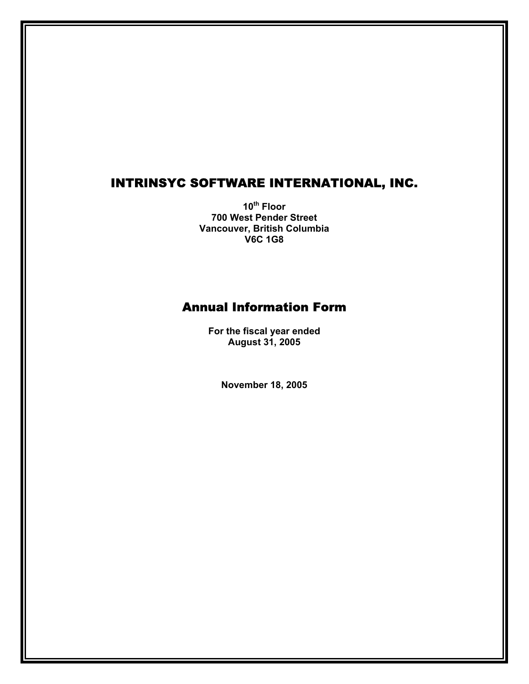# INTRINSYC SOFTWARE INTERNATIONAL, INC.

**10th Floor 700 West Pender Street Vancouver, British Columbia V6C 1G8** 

# Annual Information Form

**For the fiscal year ended August 31, 2005** 

**November 18, 2005**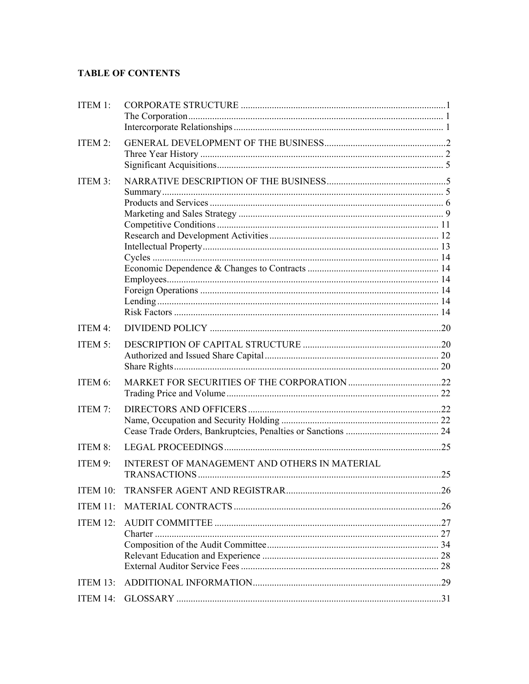# **TABLE OF CONTENTS**

| ITEM $1$ :  |                                                      |  |
|-------------|------------------------------------------------------|--|
| ITEM 2:     |                                                      |  |
| ITEM 3:     |                                                      |  |
| ITEM 4:     |                                                      |  |
|             |                                                      |  |
| ITEM 5:     |                                                      |  |
| ITEM 6:     |                                                      |  |
| ITEM 7:     |                                                      |  |
| ITEM 8:     |                                                      |  |
| ITEM 9:     | <b>INTEREST OF MANAGEMENT AND OTHERS IN MATERIAL</b> |  |
| ITEM $10$ : |                                                      |  |
| ITEM 11:    |                                                      |  |
| ITEM $12$ : |                                                      |  |
|             |                                                      |  |
|             |                                                      |  |
|             |                                                      |  |
| ITEM $13$ : |                                                      |  |
|             |                                                      |  |
| ITEM 14:    |                                                      |  |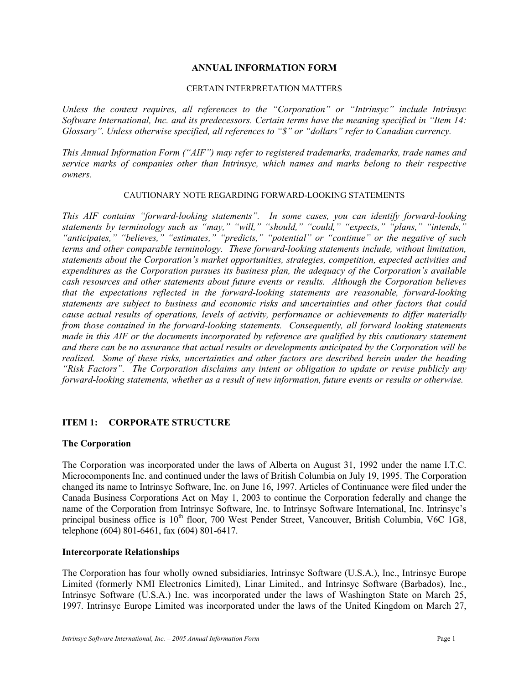#### **ANNUAL INFORMATION FORM**

#### CERTAIN INTERPRETATION MATTERS

*Unless the context requires, all references to the "Corporation" or "Intrinsyc" include Intrinsyc Software International, Inc. and its predecessors. Certain terms have the meaning specified in "Item 14: Glossary". Unless otherwise specified, all references to "\$" or "dollars" refer to Canadian currency.* 

*This Annual Information Form ("AIF") may refer to registered trademarks, trademarks, trade names and service marks of companies other than Intrinsyc, which names and marks belong to their respective owners.* 

#### CAUTIONARY NOTE REGARDING FORWARD-LOOKING STATEMENTS

*This AIF contains "forward-looking statements". In some cases, you can identify forward-looking statements by terminology such as "may," "will," "should," "could," "expects," "plans," "intends," "anticipates," "believes," "estimates," "predicts," "potential" or "continue" or the negative of such terms and other comparable terminology. These forward-looking statements include, without limitation, statements about the Corporation's market opportunities, strategies, competition, expected activities and expenditures as the Corporation pursues its business plan, the adequacy of the Corporation's available cash resources and other statements about future events or results. Although the Corporation believes that the expectations reflected in the forward-looking statements are reasonable, forward-looking statements are subject to business and economic risks and uncertainties and other factors that could cause actual results of operations, levels of activity, performance or achievements to differ materially from those contained in the forward-looking statements. Consequently, all forward looking statements made in this AIF or the documents incorporated by reference are qualified by this cautionary statement and there can be no assurance that actual results or developments anticipated by the Corporation will be realized. Some of these risks, uncertainties and other factors are described herein under the heading "Risk Factors". The Corporation disclaims any intent or obligation to update or revise publicly any forward-looking statements, whether as a result of new information, future events or results or otherwise.* 

## **ITEM 1: CORPORATE STRUCTURE**

#### **The Corporation**

The Corporation was incorporated under the laws of Alberta on August 31, 1992 under the name I.T.C. Microcomponents Inc. and continued under the laws of British Columbia on July 19, 1995. The Corporation changed its name to Intrinsyc Software, Inc. on June 16, 1997. Articles of Continuance were filed under the Canada Business Corporations Act on May 1, 2003 to continue the Corporation federally and change the name of the Corporation from Intrinsyc Software, Inc. to Intrinsyc Software International, Inc. Intrinsyc's principal business office is 10<sup>th</sup> floor, 700 West Pender Street, Vancouver, British Columbia, V6C 1G8, telephone (604) 801-6461, fax (604) 801-6417.

#### **Intercorporate Relationships**

The Corporation has four wholly owned subsidiaries, Intrinsyc Software (U.S.A.), Inc., Intrinsyc Europe Limited (formerly NMI Electronics Limited), Linar Limited., and Intrinsyc Software (Barbados), Inc., Intrinsyc Software (U.S.A.) Inc. was incorporated under the laws of Washington State on March 25, 1997. Intrinsyc Europe Limited was incorporated under the laws of the United Kingdom on March 27,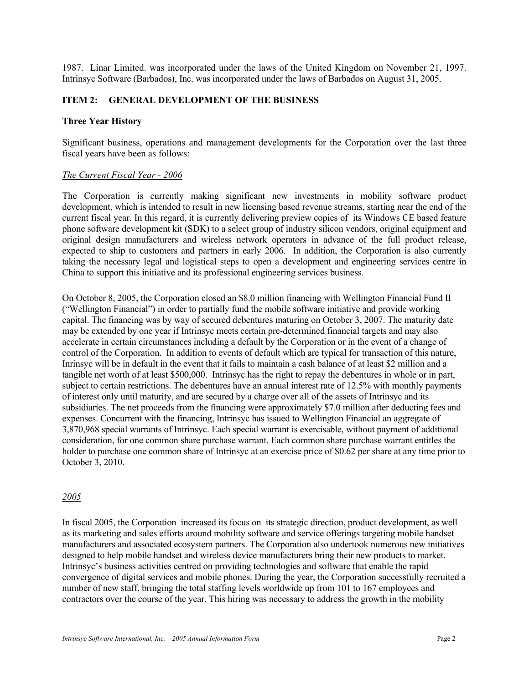1987. Linar Limited. was incorporated under the laws of the United Kingdom on November 21, 1997. Intrinsyc Software (Barbados), Inc. was incorporated under the laws of Barbados on August 31, 2005.

## **ITEM 2: GENERAL DEVELOPMENT OF THE BUSINESS**

#### **Three Year History**

Significant business, operations and management developments for the Corporation over the last three fiscal years have been as follows:

#### *The Current Fiscal Year - 2006*

The Corporation is currently making significant new investments in mobility software product development, which is intended to result in new licensing based revenue streams, starting near the end of the current fiscal year. In this regard, it is currently delivering preview copies of its Windows CE based feature phone software development kit (SDK) to a select group of industry silicon vendors, original equipment and original design manufacturers and wireless network operators in advance of the full product release, expected to ship to customers and partners in early 2006. In addition, the Corporation is also currently taking the necessary legal and logistical steps to open a development and engineering services centre in China to support this initiative and its professional engineering services business.

On October 8, 2005, the Corporation closed an \$8.0 million financing with Wellington Financial Fund II ("Wellington Financial") in order to partially fund the mobile software initiative and provide working capital. The financing was by way of secured debentures maturing on October 3, 2007. The maturity date may be extended by one year if Intrinsyc meets certain pre-determined financial targets and may also accelerate in certain circumstances including a default by the Corporation or in the event of a change of control of the Corporation. In addition to events of default which are typical for transaction of this nature, Inrinsyc will be in default in the event that it fails to maintain a cash balance of at least \$2 million and a tangible net worth of at least \$500,000. Intrinsyc has the right to repay the debentures in whole or in part, subject to certain restrictions. The debentures have an annual interest rate of 12.5% with monthly payments of interest only until maturity, and are secured by a charge over all of the assets of Intrinsyc and its subsidiaries. The net proceeds from the financing were approximately \$7.0 million after deducting fees and expenses. Concurrent with the financing, Intrinsyc has issued to Wellington Financial an aggregate of 3,870,968 special warrants of Intrinsyc. Each special warrant is exercisable, without payment of additional consideration, for one common share purchase warrant. Each common share purchase warrant entitles the holder to purchase one common share of Intrinsyc at an exercise price of \$0.62 per share at any time prior to October 3, 2010.

#### *2005*

In fiscal 2005, the Corporation increased its focus on its strategic direction, product development, as well as its marketing and sales efforts around mobility software and service offerings targeting mobile handset manufacturers and associated ecosystem partners. The Corporation also undertook numerous new initiatives designed to help mobile handset and wireless device manufacturers bring their new products to market. Intrinsyc's business activities centred on providing technologies and software that enable the rapid convergence of digital services and mobile phones. During the year, the Corporation successfully recruited a number of new staff, bringing the total staffing levels worldwide up from 101 to 167 employees and contractors over the course of the year. This hiring was necessary to address the growth in the mobility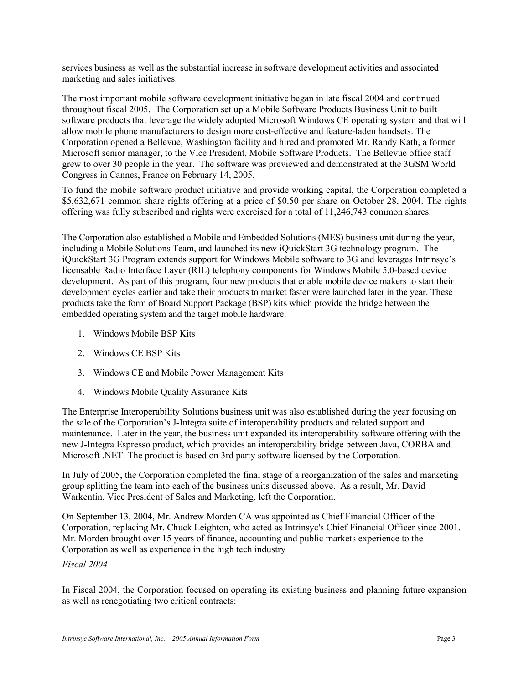services business as well as the substantial increase in software development activities and associated marketing and sales initiatives.

The most important mobile software development initiative began in late fiscal 2004 and continued throughout fiscal 2005. The Corporation set up a Mobile Software Products Business Unit to built software products that leverage the widely adopted Microsoft Windows CE operating system and that will allow mobile phone manufacturers to design more cost-effective and feature-laden handsets. The Corporation opened a Bellevue, Washington facility and hired and promoted Mr. Randy Kath, a former Microsoft senior manager, to the Vice President, Mobile Software Products. The Bellevue office staff grew to over 30 people in the year. The software was previewed and demonstrated at the 3GSM World Congress in Cannes, France on February 14, 2005.

To fund the mobile software product initiative and provide working capital, the Corporation completed a \$5,632,671 common share rights offering at a price of \$0.50 per share on October 28, 2004. The rights offering was fully subscribed and rights were exercised for a total of 11,246,743 common shares.

The Corporation also established a Mobile and Embedded Solutions (MES) business unit during the year, including a Mobile Solutions Team, and launched its new iQuickStart 3G technology program. The iQuickStart 3G Program extends support for Windows Mobile software to 3G and leverages Intrinsyc's licensable Radio Interface Layer (RIL) telephony components for Windows Mobile 5.0-based device development. As part of this program, four new products that enable mobile device makers to start their development cycles earlier and take their products to market faster were launched later in the year. These products take the form of Board Support Package (BSP) kits which provide the bridge between the embedded operating system and the target mobile hardware:

- 1. Windows Mobile BSP Kits
- 2. Windows CE BSP Kits
- 3. Windows CE and Mobile Power Management Kits
- 4. Windows Mobile Quality Assurance Kits

The Enterprise Interoperability Solutions business unit was also established during the year focusing on the sale of the Corporation's J-Integra suite of interoperability products and related support and maintenance. Later in the year, the business unit expanded its interoperability software offering with the new J-Integra Espresso product, which provides an interoperability bridge between Java, CORBA and Microsoft .NET. The product is based on 3rd party software licensed by the Corporation.

In July of 2005, the Corporation completed the final stage of a reorganization of the sales and marketing group splitting the team into each of the business units discussed above. As a result, Mr. David Warkentin, Vice President of Sales and Marketing, left the Corporation.

On September 13, 2004, Mr. Andrew Morden CA was appointed as Chief Financial Officer of the Corporation, replacing Mr. Chuck Leighton, who acted as Intrinsyc's Chief Financial Officer since 2001. Mr. Morden brought over 15 years of finance, accounting and public markets experience to the Corporation as well as experience in the high tech industry

## *Fiscal 2004*

In Fiscal 2004, the Corporation focused on operating its existing business and planning future expansion as well as renegotiating two critical contracts: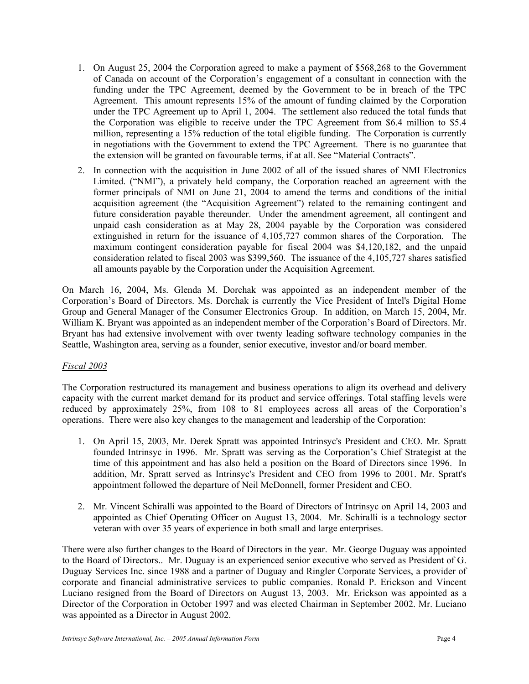- 1. On August 25, 2004 the Corporation agreed to make a payment of \$568,268 to the Government of Canada on account of the Corporation's engagement of a consultant in connection with the funding under the TPC Agreement, deemed by the Government to be in breach of the TPC Agreement. This amount represents 15% of the amount of funding claimed by the Corporation under the TPC Agreement up to April 1, 2004. The settlement also reduced the total funds that the Corporation was eligible to receive under the TPC Agreement from \$6.4 million to \$5.4 million, representing a 15% reduction of the total eligible funding. The Corporation is currently in negotiations with the Government to extend the TPC Agreement. There is no guarantee that the extension will be granted on favourable terms, if at all. See "Material Contracts".
- 2. In connection with the acquisition in June 2002 of all of the issued shares of NMI Electronics Limited. ("NMI"), a privately held company, the Corporation reached an agreement with the former principals of NMI on June 21, 2004 to amend the terms and conditions of the initial acquisition agreement (the "Acquisition Agreement") related to the remaining contingent and future consideration payable thereunder. Under the amendment agreement, all contingent and unpaid cash consideration as at May 28, 2004 payable by the Corporation was considered extinguished in return for the issuance of 4,105,727 common shares of the Corporation. The maximum contingent consideration payable for fiscal 2004 was \$4,120,182, and the unpaid consideration related to fiscal 2003 was \$399,560. The issuance of the 4,105,727 shares satisfied all amounts payable by the Corporation under the Acquisition Agreement.

On March 16, 2004, Ms. Glenda M. Dorchak was appointed as an independent member of the Corporation's Board of Directors. Ms. Dorchak is currently the Vice President of Intel's Digital Home Group and General Manager of the Consumer Electronics Group. In addition, on March 15, 2004, Mr. William K. Bryant was appointed as an independent member of the Corporation's Board of Directors. Mr. Bryant has had extensive involvement with over twenty leading software technology companies in the Seattle, Washington area, serving as a founder, senior executive, investor and/or board member.

## *Fiscal 2003*

The Corporation restructured its management and business operations to align its overhead and delivery capacity with the current market demand for its product and service offerings. Total staffing levels were reduced by approximately 25%, from 108 to 81 employees across all areas of the Corporation's operations. There were also key changes to the management and leadership of the Corporation:

- 1. On April 15, 2003, Mr. Derek Spratt was appointed Intrinsyc's President and CEO. Mr. Spratt founded Intrinsyc in 1996. Mr. Spratt was serving as the Corporation's Chief Strategist at the time of this appointment and has also held a position on the Board of Directors since 1996. In addition, Mr. Spratt served as Intrinsyc's President and CEO from 1996 to 2001. Mr. Spratt's appointment followed the departure of Neil McDonnell, former President and CEO.
- 2. Mr. Vincent Schiralli was appointed to the Board of Directors of Intrinsyc on April 14, 2003 and appointed as Chief Operating Officer on August 13, 2004. Mr. Schiralli is a technology sector veteran with over 35 years of experience in both small and large enterprises.

There were also further changes to the Board of Directors in the year. Mr. George Duguay was appointed to the Board of Directors.. Mr. Duguay is an experienced senior executive who served as President of G. Duguay Services Inc. since 1988 and a partner of Duguay and Ringler Corporate Services, a provider of corporate and financial administrative services to public companies. Ronald P. Erickson and Vincent Luciano resigned from the Board of Directors on August 13, 2003. Mr. Erickson was appointed as a Director of the Corporation in October 1997 and was elected Chairman in September 2002. Mr. Luciano was appointed as a Director in August 2002.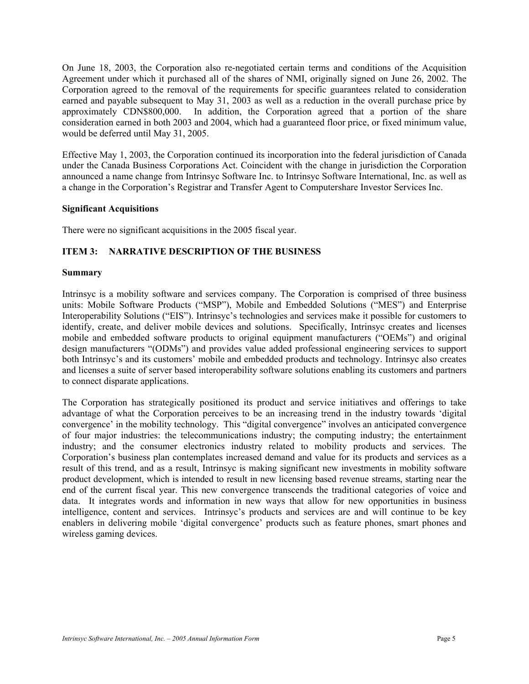On June 18, 2003, the Corporation also re-negotiated certain terms and conditions of the Acquisition Agreement under which it purchased all of the shares of NMI, originally signed on June 26, 2002. The Corporation agreed to the removal of the requirements for specific guarantees related to consideration earned and payable subsequent to May 31, 2003 as well as a reduction in the overall purchase price by approximately CDN\$800,000. In addition, the Corporation agreed that a portion of the share consideration earned in both 2003 and 2004, which had a guaranteed floor price, or fixed minimum value, would be deferred until May 31, 2005.

Effective May 1, 2003, the Corporation continued its incorporation into the federal jurisdiction of Canada under the Canada Business Corporations Act. Coincident with the change in jurisdiction the Corporation announced a name change from Intrinsyc Software Inc. to Intrinsyc Software International, Inc. as well as a change in the Corporation's Registrar and Transfer Agent to Computershare Investor Services Inc.

#### **Significant Acquisitions**

There were no significant acquisitions in the 2005 fiscal year.

## **ITEM 3: NARRATIVE DESCRIPTION OF THE BUSINESS**

#### **Summary**

Intrinsyc is a mobility software and services company. The Corporation is comprised of three business units: Mobile Software Products ("MSP"), Mobile and Embedded Solutions ("MES") and Enterprise Interoperability Solutions ("EIS"). Intrinsyc's technologies and services make it possible for customers to identify, create, and deliver mobile devices and solutions. Specifically, Intrinsyc creates and licenses mobile and embedded software products to original equipment manufacturers ("OEMs") and original design manufacturers "(ODMs") and provides value added professional engineering services to support both Intrinsyc's and its customers' mobile and embedded products and technology. Intrinsyc also creates and licenses a suite of server based interoperability software solutions enabling its customers and partners to connect disparate applications.

The Corporation has strategically positioned its product and service initiatives and offerings to take advantage of what the Corporation perceives to be an increasing trend in the industry towards 'digital convergence' in the mobility technology. This "digital convergence" involves an anticipated convergence of four major industries: the telecommunications industry; the computing industry; the entertainment industry; and the consumer electronics industry related to mobility products and services. The Corporation's business plan contemplates increased demand and value for its products and services as a result of this trend, and as a result, Intrinsyc is making significant new investments in mobility software product development, which is intended to result in new licensing based revenue streams, starting near the end of the current fiscal year. This new convergence transcends the traditional categories of voice and data. It integrates words and information in new ways that allow for new opportunities in business intelligence, content and services. Intrinsyc's products and services are and will continue to be key enablers in delivering mobile 'digital convergence' products such as feature phones, smart phones and wireless gaming devices.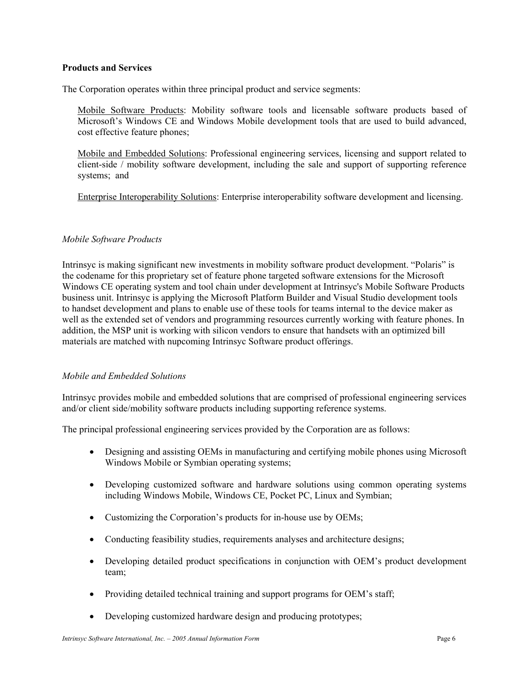#### **Products and Services**

The Corporation operates within three principal product and service segments:

Mobile Software Products: Mobility software tools and licensable software products based of Microsoft's Windows CE and Windows Mobile development tools that are used to build advanced, cost effective feature phones;

Mobile and Embedded Solutions: Professional engineering services, licensing and support related to client-side / mobility software development, including the sale and support of supporting reference systems; and

Enterprise Interoperability Solutions: Enterprise interoperability software development and licensing.

#### *Mobile Software Products*

Intrinsyc is making significant new investments in mobility software product development. "Polaris" is the codename for this proprietary set of feature phone targeted software extensions for the Microsoft Windows CE operating system and tool chain under development at Intrinsyc's Mobile Software Products business unit. Intrinsyc is applying the Microsoft Platform Builder and Visual Studio development tools to handset development and plans to enable use of these tools for teams internal to the device maker as well as the extended set of vendors and programming resources currently working with feature phones. In addition, the MSP unit is working with silicon vendors to ensure that handsets with an optimized bill materials are matched with nupcoming Intrinsyc Software product offerings.

## *Mobile and Embedded Solutions*

Intrinsyc provides mobile and embedded solutions that are comprised of professional engineering services and/or client side/mobility software products including supporting reference systems.

The principal professional engineering services provided by the Corporation are as follows:

- Designing and assisting OEMs in manufacturing and certifying mobile phones using Microsoft Windows Mobile or Symbian operating systems;
- Developing customized software and hardware solutions using common operating systems including Windows Mobile, Windows CE, Pocket PC, Linux and Symbian;
- Customizing the Corporation's products for in-house use by OEMs;
- Conducting feasibility studies, requirements analyses and architecture designs;
- Developing detailed product specifications in conjunction with OEM's product development team;
- Providing detailed technical training and support programs for OEM's staff;
- Developing customized hardware design and producing prototypes;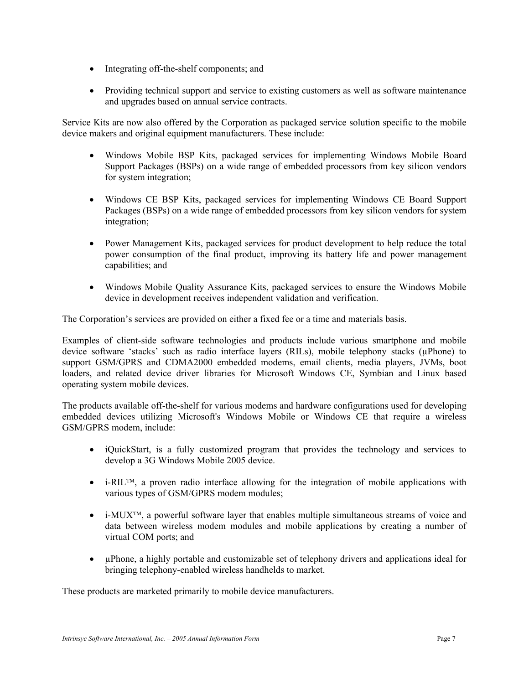- Integrating off-the-shelf components; and
- Providing technical support and service to existing customers as well as software maintenance and upgrades based on annual service contracts.

Service Kits are now also offered by the Corporation as packaged service solution specific to the mobile device makers and original equipment manufacturers. These include:

- Windows Mobile BSP Kits, packaged services for implementing Windows Mobile Board Support Packages (BSPs) on a wide range of embedded processors from key silicon vendors for system integration;
- Windows CE BSP Kits, packaged services for implementing Windows CE Board Support Packages (BSPs) on a wide range of embedded processors from key silicon vendors for system integration;
- Power Management Kits, packaged services for product development to help reduce the total power consumption of the final product, improving its battery life and power management capabilities; and
- Windows Mobile Quality Assurance Kits, packaged services to ensure the Windows Mobile device in development receives independent validation and verification.

The Corporation's services are provided on either a fixed fee or a time and materials basis.

Examples of client-side software technologies and products include various smartphone and mobile device software 'stacks' such as radio interface layers (RILs), mobile telephony stacks (µPhone) to support GSM/GPRS and CDMA2000 embedded modems, email clients, media players, JVMs, boot loaders, and related device driver libraries for Microsoft Windows CE, Symbian and Linux based operating system mobile devices.

The products available off-the-shelf for various modems and hardware configurations used for developing embedded devices utilizing Microsoft's Windows Mobile or Windows CE that require a wireless GSM/GPRS modem, include:

- iQuickStart, is a fully customized program that provides the technology and services to develop a 3G Windows Mobile 2005 device.
- i-RIL<sup>TM</sup>, a proven radio interface allowing for the integration of mobile applications with various types of GSM/GPRS modem modules;
- i-MUX<sup>TM</sup>, a powerful software layer that enables multiple simultaneous streams of voice and data between wireless modem modules and mobile applications by creating a number of virtual COM ports; and
- µPhone, a highly portable and customizable set of telephony drivers and applications ideal for bringing telephony-enabled wireless handhelds to market.

These products are marketed primarily to mobile device manufacturers.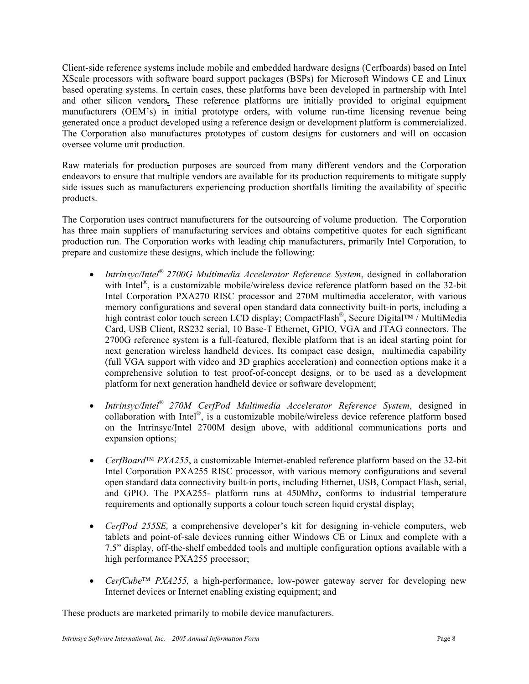Client-side reference systems include mobile and embedded hardware designs (Cerfboards) based on Intel XScale processors with software board support packages (BSPs) for Microsoft Windows CE and Linux based operating systems. In certain cases, these platforms have been developed in partnership with Intel and other silicon vendors*.* These reference platforms are initially provided to original equipment manufacturers (OEM's) in initial prototype orders, with volume run-time licensing revenue being generated once a product developed using a reference design or development platform is commercialized. The Corporation also manufactures prototypes of custom designs for customers and will on occasion oversee volume unit production.

Raw materials for production purposes are sourced from many different vendors and the Corporation endeavors to ensure that multiple vendors are available for its production requirements to mitigate supply side issues such as manufacturers experiencing production shortfalls limiting the availability of specific products.

The Corporation uses contract manufacturers for the outsourcing of volume production. The Corporation has three main suppliers of manufacturing services and obtains competitive quotes for each significant production run. The Corporation works with leading chip manufacturers, primarily Intel Corporation, to prepare and customize these designs, which include the following:

- *Intrinsyc/Intel® 2700G Multimedia Accelerator Reference System*, designed in collaboration with Intel<sup>®</sup>, is a customizable mobile/wireless device reference platform based on the 32-bit Intel Corporation PXA270 RISC processor and 270M multimedia accelerator, with various memory configurations and several open standard data connectivity built-in ports, including a high contrast color touch screen LCD display; CompactFlash®, Secure Digital™ / MultiMedia Card, USB Client, RS232 serial, 10 Base-T Ethernet, GPIO, VGA and JTAG connectors. The 2700G reference system is a full-featured, flexible platform that is an ideal starting point for next generation wireless handheld devices. Its compact case design, multimedia capability (full VGA support with video and 3D graphics acceleration) and connection options make it a comprehensive solution to test proof-of-concept designs, or to be used as a development platform for next generation handheld device or software development;
- *Intrinsyc/Intel® 270M CerfPod Multimedia Accelerator Reference System*, designed in collaboration with Intel®, is a customizable mobile/wireless device reference platform based on the Intrinsyc/Intel 2700M design above, with additional communications ports and expansion options;
- *CerfBoard*<sup>™</sup> *PXA255*, a customizable Internet-enabled reference platform based on the 32-bit Intel Corporation PXA255 RISC processor, with various memory configurations and several open standard data connectivity built-in ports, including Ethernet, USB, Compact Flash, serial, and GPIO. The PXA255- platform runs at 450Mhz**,** conforms to industrial temperature requirements and optionally supports a colour touch screen liquid crystal display;
- *CerfPod 255SE,* a comprehensive developer's kit for designing in-vehicle computers, web tablets and point-of-sale devices running either Windows CE or Linux and complete with a 7.5" display, off-the-shelf embedded tools and multiple configuration options available with a high performance PXA255 processor;
- *CerfCube*<sup> $TM$ </sup> *PXA255*, a high-performance, low-power gateway server for developing new Internet devices or Internet enabling existing equipment; and

These products are marketed primarily to mobile device manufacturers.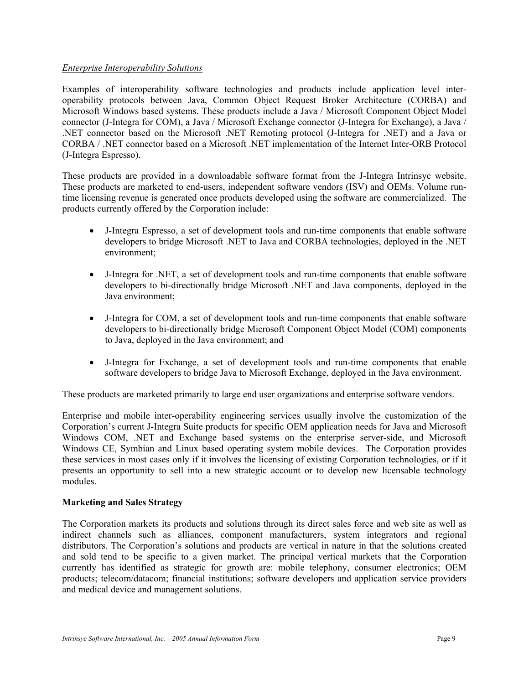## *Enterprise Interoperability Solutions*

Examples of interoperability software technologies and products include application level interoperability protocols between Java, Common Object Request Broker Architecture (CORBA) and Microsoft Windows based systems. These products include a Java / Microsoft Component Object Model connector (J-Integra for COM), a Java / Microsoft Exchange connector (J-Integra for Exchange), a Java / .NET connector based on the Microsoft .NET Remoting protocol (J-Integra for .NET) and a Java or CORBA / .NET connector based on a Microsoft .NET implementation of the Internet Inter-ORB Protocol (J-Integra Espresso).

These products are provided in a downloadable software format from the J-Integra Intrinsyc website. These products are marketed to end-users, independent software vendors (ISV) and OEMs. Volume runtime licensing revenue is generated once products developed using the software are commercialized. The products currently offered by the Corporation include:

- J-Integra Espresso, a set of development tools and run-time components that enable software developers to bridge Microsoft .NET to Java and CORBA technologies, deployed in the .NET environment;
- J-Integra for .NET, a set of development tools and run-time components that enable software developers to bi-directionally bridge Microsoft .NET and Java components, deployed in the Java environment;
- J-Integra for COM, a set of development tools and run-time components that enable software developers to bi-directionally bridge Microsoft Component Object Model (COM) components to Java, deployed in the Java environment; and
- J-Integra for Exchange, a set of development tools and run-time components that enable software developers to bridge Java to Microsoft Exchange, deployed in the Java environment.

These products are marketed primarily to large end user organizations and enterprise software vendors.

Enterprise and mobile inter-operability engineering services usually involve the customization of the Corporation's current J-Integra Suite products for specific OEM application needs for Java and Microsoft Windows COM, .NET and Exchange based systems on the enterprise server-side, and Microsoft Windows CE, Symbian and Linux based operating system mobile devices. The Corporation provides these services in most cases only if it involves the licensing of existing Corporation technologies, or if it presents an opportunity to sell into a new strategic account or to develop new licensable technology modules.

## **Marketing and Sales Strategy**

The Corporation markets its products and solutions through its direct sales force and web site as well as indirect channels such as alliances, component manufacturers, system integrators and regional distributors. The Corporation's solutions and products are vertical in nature in that the solutions created and sold tend to be specific to a given market. The principal vertical markets that the Corporation currently has identified as strategic for growth are: mobile telephony, consumer electronics; OEM products; telecom/datacom; financial institutions; software developers and application service providers and medical device and management solutions.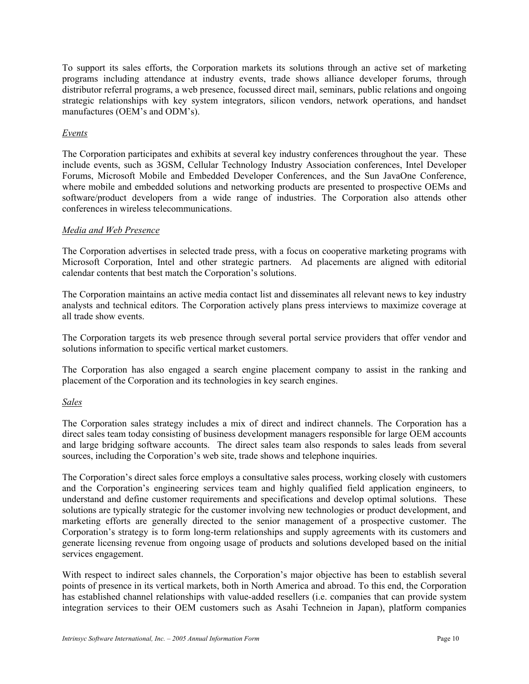To support its sales efforts, the Corporation markets its solutions through an active set of marketing programs including attendance at industry events, trade shows alliance developer forums, through distributor referral programs, a web presence, focussed direct mail, seminars, public relations and ongoing strategic relationships with key system integrators, silicon vendors, network operations, and handset manufactures (OEM's and ODM's).

## *Events*

The Corporation participates and exhibits at several key industry conferences throughout the year. These include events, such as 3GSM, Cellular Technology Industry Association conferences, Intel Developer Forums, Microsoft Mobile and Embedded Developer Conferences, and the Sun JavaOne Conference, where mobile and embedded solutions and networking products are presented to prospective OEMs and software/product developers from a wide range of industries. The Corporation also attends other conferences in wireless telecommunications.

## *Media and Web Presence*

The Corporation advertises in selected trade press, with a focus on cooperative marketing programs with Microsoft Corporation, Intel and other strategic partners. Ad placements are aligned with editorial calendar contents that best match the Corporation's solutions.

The Corporation maintains an active media contact list and disseminates all relevant news to key industry analysts and technical editors. The Corporation actively plans press interviews to maximize coverage at all trade show events.

The Corporation targets its web presence through several portal service providers that offer vendor and solutions information to specific vertical market customers.

The Corporation has also engaged a search engine placement company to assist in the ranking and placement of the Corporation and its technologies in key search engines.

## *Sales*

The Corporation sales strategy includes a mix of direct and indirect channels. The Corporation has a direct sales team today consisting of business development managers responsible for large OEM accounts and large bridging software accounts. The direct sales team also responds to sales leads from several sources, including the Corporation's web site, trade shows and telephone inquiries.

The Corporation's direct sales force employs a consultative sales process, working closely with customers and the Corporation's engineering services team and highly qualified field application engineers, to understand and define customer requirements and specifications and develop optimal solutions. These solutions are typically strategic for the customer involving new technologies or product development, and marketing efforts are generally directed to the senior management of a prospective customer. The Corporation's strategy is to form long-term relationships and supply agreements with its customers and generate licensing revenue from ongoing usage of products and solutions developed based on the initial services engagement.

With respect to indirect sales channels, the Corporation's major objective has been to establish several points of presence in its vertical markets, both in North America and abroad. To this end, the Corporation has established channel relationships with value-added resellers (i.e. companies that can provide system integration services to their OEM customers such as Asahi Techneion in Japan), platform companies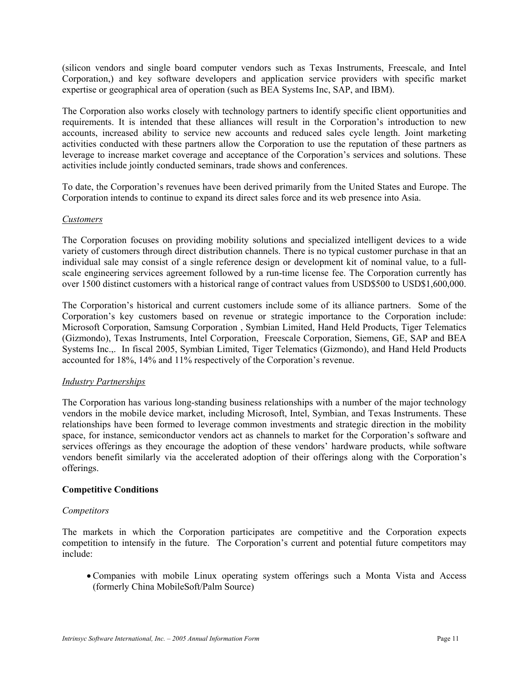(silicon vendors and single board computer vendors such as Texas Instruments, Freescale, and Intel Corporation,) and key software developers and application service providers with specific market expertise or geographical area of operation (such as BEA Systems Inc, SAP, and IBM).

The Corporation also works closely with technology partners to identify specific client opportunities and requirements. It is intended that these alliances will result in the Corporation's introduction to new accounts, increased ability to service new accounts and reduced sales cycle length. Joint marketing activities conducted with these partners allow the Corporation to use the reputation of these partners as leverage to increase market coverage and acceptance of the Corporation's services and solutions. These activities include jointly conducted seminars, trade shows and conferences.

To date, the Corporation's revenues have been derived primarily from the United States and Europe. The Corporation intends to continue to expand its direct sales force and its web presence into Asia.

## *Customers*

The Corporation focuses on providing mobility solutions and specialized intelligent devices to a wide variety of customers through direct distribution channels. There is no typical customer purchase in that an individual sale may consist of a single reference design or development kit of nominal value, to a fullscale engineering services agreement followed by a run-time license fee. The Corporation currently has over 1500 distinct customers with a historical range of contract values from USD\$500 to USD\$1,600,000.

The Corporation's historical and current customers include some of its alliance partners. Some of the Corporation's key customers based on revenue or strategic importance to the Corporation include: Microsoft Corporation, Samsung Corporation , Symbian Limited, Hand Held Products, Tiger Telematics (Gizmondo), Texas Instruments, Intel Corporation, Freescale Corporation, Siemens, GE, SAP and BEA Systems Inc.,. In fiscal 2005, Symbian Limited, Tiger Telematics (Gizmondo), and Hand Held Products accounted for 18%, 14% and 11% respectively of the Corporation's revenue.

## *Industry Partnerships*

The Corporation has various long-standing business relationships with a number of the major technology vendors in the mobile device market, including Microsoft, Intel, Symbian, and Texas Instruments. These relationships have been formed to leverage common investments and strategic direction in the mobility space, for instance, semiconductor vendors act as channels to market for the Corporation's software and services offerings as they encourage the adoption of these vendors' hardware products, while software vendors benefit similarly via the accelerated adoption of their offerings along with the Corporation's offerings.

## **Competitive Conditions**

#### *Competitors*

The markets in which the Corporation participates are competitive and the Corporation expects competition to intensify in the future. The Corporation's current and potential future competitors may include:

• Companies with mobile Linux operating system offerings such a Monta Vista and Access (formerly China MobileSoft/Palm Source)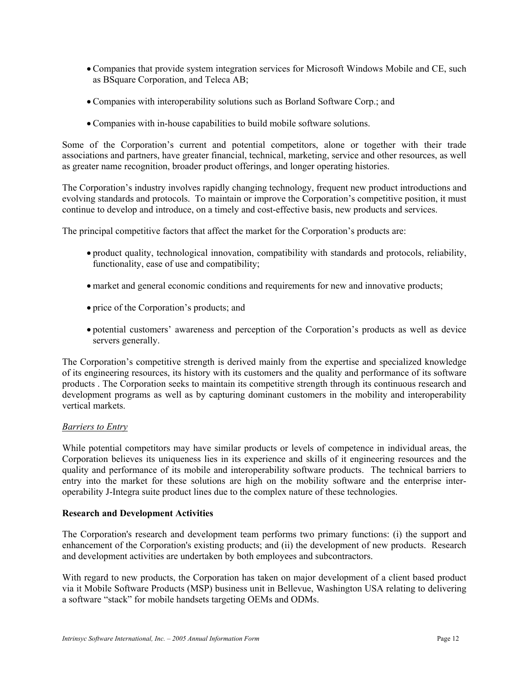- Companies that provide system integration services for Microsoft Windows Mobile and CE, such as BSquare Corporation, and Teleca AB;
- Companies with interoperability solutions such as Borland Software Corp.; and
- Companies with in-house capabilities to build mobile software solutions.

Some of the Corporation's current and potential competitors, alone or together with their trade associations and partners, have greater financial, technical, marketing, service and other resources, as well as greater name recognition, broader product offerings, and longer operating histories.

The Corporation's industry involves rapidly changing technology, frequent new product introductions and evolving standards and protocols. To maintain or improve the Corporation's competitive position, it must continue to develop and introduce, on a timely and cost-effective basis, new products and services.

The principal competitive factors that affect the market for the Corporation's products are:

- product quality, technological innovation, compatibility with standards and protocols, reliability, functionality, ease of use and compatibility;
- market and general economic conditions and requirements for new and innovative products;
- price of the Corporation's products; and
- potential customers' awareness and perception of the Corporation's products as well as device servers generally.

The Corporation's competitive strength is derived mainly from the expertise and specialized knowledge of its engineering resources, its history with its customers and the quality and performance of its software products . The Corporation seeks to maintain its competitive strength through its continuous research and development programs as well as by capturing dominant customers in the mobility and interoperability vertical markets.

## *Barriers to Entry*

While potential competitors may have similar products or levels of competence in individual areas, the Corporation believes its uniqueness lies in its experience and skills of it engineering resources and the quality and performance of its mobile and interoperability software products. The technical barriers to entry into the market for these solutions are high on the mobility software and the enterprise interoperability J-Integra suite product lines due to the complex nature of these technologies.

#### **Research and Development Activities**

The Corporation's research and development team performs two primary functions: (i) the support and enhancement of the Corporation's existing products; and (ii) the development of new products. Research and development activities are undertaken by both employees and subcontractors.

With regard to new products, the Corporation has taken on major development of a client based product via it Mobile Software Products (MSP) business unit in Bellevue, Washington USA relating to delivering a software "stack" for mobile handsets targeting OEMs and ODMs.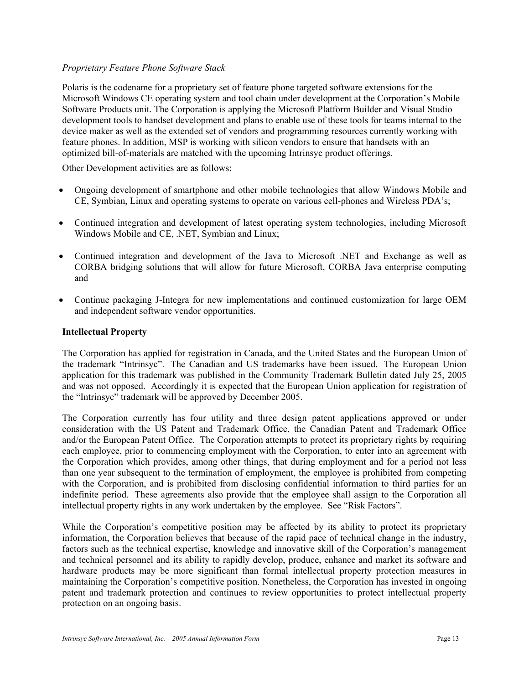## *Proprietary Feature Phone Software Stack*

Polaris is the codename for a proprietary set of feature phone targeted software extensions for the Microsoft Windows CE operating system and tool chain under development at the Corporation's Mobile Software Products unit. The Corporation is applying the Microsoft Platform Builder and Visual Studio development tools to handset development and plans to enable use of these tools for teams internal to the device maker as well as the extended set of vendors and programming resources currently working with feature phones. In addition, MSP is working with silicon vendors to ensure that handsets with an optimized bill-of-materials are matched with the upcoming Intrinsyc product offerings.

Other Development activities are as follows:

- Ongoing development of smartphone and other mobile technologies that allow Windows Mobile and CE, Symbian, Linux and operating systems to operate on various cell-phones and Wireless PDA's;
- Continued integration and development of latest operating system technologies, including Microsoft Windows Mobile and CE, .NET, Symbian and Linux;
- Continued integration and development of the Java to Microsoft .NET and Exchange as well as CORBA bridging solutions that will allow for future Microsoft, CORBA Java enterprise computing and
- Continue packaging J-Integra for new implementations and continued customization for large OEM and independent software vendor opportunities.

#### **Intellectual Property**

The Corporation has applied for registration in Canada, and the United States and the European Union of the trademark "Intrinsyc". The Canadian and US trademarks have been issued. The European Union application for this trademark was published in the Community Trademark Bulletin dated July 25, 2005 and was not opposed. Accordingly it is expected that the European Union application for registration of the "Intrinsyc" trademark will be approved by December 2005.

The Corporation currently has four utility and three design patent applications approved or under consideration with the US Patent and Trademark Office, the Canadian Patent and Trademark Office and/or the European Patent Office. The Corporation attempts to protect its proprietary rights by requiring each employee, prior to commencing employment with the Corporation, to enter into an agreement with the Corporation which provides, among other things, that during employment and for a period not less than one year subsequent to the termination of employment, the employee is prohibited from competing with the Corporation, and is prohibited from disclosing confidential information to third parties for an indefinite period. These agreements also provide that the employee shall assign to the Corporation all intellectual property rights in any work undertaken by the employee. See "Risk Factors".

While the Corporation's competitive position may be affected by its ability to protect its proprietary information, the Corporation believes that because of the rapid pace of technical change in the industry, factors such as the technical expertise, knowledge and innovative skill of the Corporation's management and technical personnel and its ability to rapidly develop, produce, enhance and market its software and hardware products may be more significant than formal intellectual property protection measures in maintaining the Corporation's competitive position. Nonetheless, the Corporation has invested in ongoing patent and trademark protection and continues to review opportunities to protect intellectual property protection on an ongoing basis.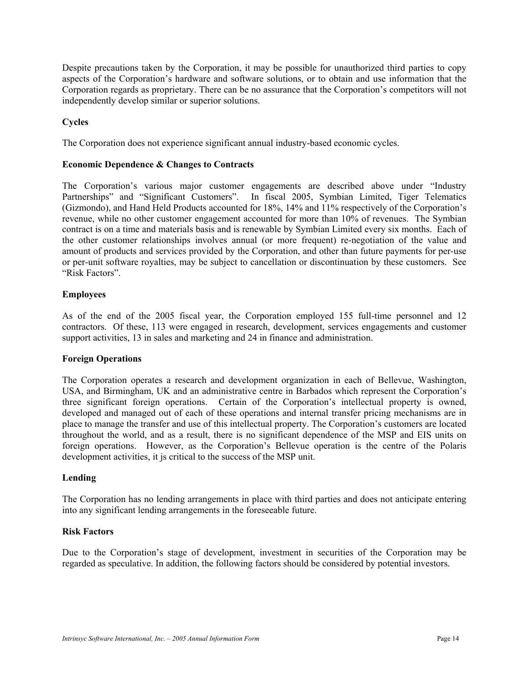Despite precautions taken by the Corporation, it may be possible for unauthorized third parties to copy aspects of the Corporation's hardware and software solutions, or to obtain and use information that the Corporation regards as proprietary. There can be no assurance that the Corporation's competitors will not independently develop similar or superior solutions.

## **Cycles**

The Corporation does not experience significant annual industry-based economic cycles.

#### **Economic Dependence & Changes to Contracts**

The Corporation's various major customer engagements are described above under "Industry Partnerships" and "Significant Customers". In fiscal 2005, Symbian Limited, Tiger Telematics (Gizmondo), and Hand Held Products accounted for 18%, 14% and 11% respectively of the Corporation's revenue, while no other customer engagement accounted for more than 10% of revenues. The Symbian contract is on a time and materials basis and is renewable by Symbian Limited every six months.Each of the other customer relationships involves annual (or more frequent) re-negotiation of the value and amount of products and services provided by the Corporation, and other than future payments for per-use or per-unit software royalties, may be subject to cancellation or discontinuation by these customers. See "Risk Factors".

#### **Employees**

As of the end of the 2005 fiscal year, the Corporation employed 155 full-time personnel and 12 contractors. Of these, 113 were engaged in research, development, services engagements and customer support activities, 13 in sales and marketing and 24 in finance and administration.

#### **Foreign Operations**

The Corporation operates a research and development organization in each of Bellevue, Washington, USA, and Birmingham, UK and an administrative centre in Barbados which represent the Corporation's three significant foreign operations. Certain of the Corporation's intellectual property is owned, developed and managed out of each of these operations and internal transfer pricing mechanisms are in place to manage the transfer and use of this intellectual property. The Corporation's customers are located throughout the world, and as a result, there is no significant dependence of the MSP and EIS units on foreign operations. However, as the Corporation's Bellevue operation is the centre of the Polaris development activities, it js critical to the success of the MSP unit.

## **Lending**

The Corporation has no lending arrangements in place with third parties and does not anticipate entering into any significant lending arrangements in the foreseeable future.

#### **Risk Factors**

Due to the Corporation's stage of development, investment in securities of the Corporation may be regarded as speculative. In addition, the following factors should be considered by potential investors.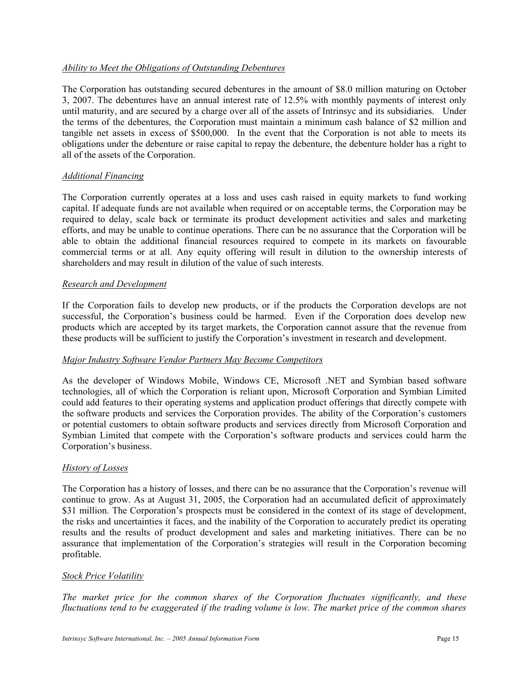## *Ability to Meet the Obligations of Outstanding Debentures*

The Corporation has outstanding secured debentures in the amount of \$8.0 million maturing on October 3, 2007. The debentures have an annual interest rate of 12.5% with monthly payments of interest only until maturity, and are secured by a charge over all of the assets of Intrinsyc and its subsidiaries. Under the terms of the debentures, the Corporation must maintain a minimum cash balance of \$2 million and tangible net assets in excess of \$500,000. In the event that the Corporation is not able to meets its obligations under the debenture or raise capital to repay the debenture, the debenture holder has a right to all of the assets of the Corporation.

#### *Additional Financing*

The Corporation currently operates at a loss and uses cash raised in equity markets to fund working capital. If adequate funds are not available when required or on acceptable terms, the Corporation may be required to delay, scale back or terminate its product development activities and sales and marketing efforts, and may be unable to continue operations. There can be no assurance that the Corporation will be able to obtain the additional financial resources required to compete in its markets on favourable commercial terms or at all. Any equity offering will result in dilution to the ownership interests of shareholders and may result in dilution of the value of such interests.

#### *Research and Development*

If the Corporation fails to develop new products, or if the products the Corporation develops are not successful, the Corporation's business could be harmed. Even if the Corporation does develop new products which are accepted by its target markets, the Corporation cannot assure that the revenue from these products will be sufficient to justify the Corporation's investment in research and development.

#### *Major Industry Software Vendor Partners May Become Competitors*

As the developer of Windows Mobile, Windows CE, Microsoft .NET and Symbian based software technologies, all of which the Corporation is reliant upon, Microsoft Corporation and Symbian Limited could add features to their operating systems and application product offerings that directly compete with the software products and services the Corporation provides. The ability of the Corporation's customers or potential customers to obtain software products and services directly from Microsoft Corporation and Symbian Limited that compete with the Corporation's software products and services could harm the Corporation's business.

## *History of Losses*

The Corporation has a history of losses, and there can be no assurance that the Corporation's revenue will continue to grow. As at August 31, 2005, the Corporation had an accumulated deficit of approximately \$31 million. The Corporation's prospects must be considered in the context of its stage of development, the risks and uncertainties it faces, and the inability of the Corporation to accurately predict its operating results and the results of product development and sales and marketing initiatives. There can be no assurance that implementation of the Corporation's strategies will result in the Corporation becoming profitable.

#### *Stock Price Volatility*

*The market price for the common shares of the Corporation fluctuates significantly, and these fluctuations tend to be exaggerated if the trading volume is low. The market price of the common shares*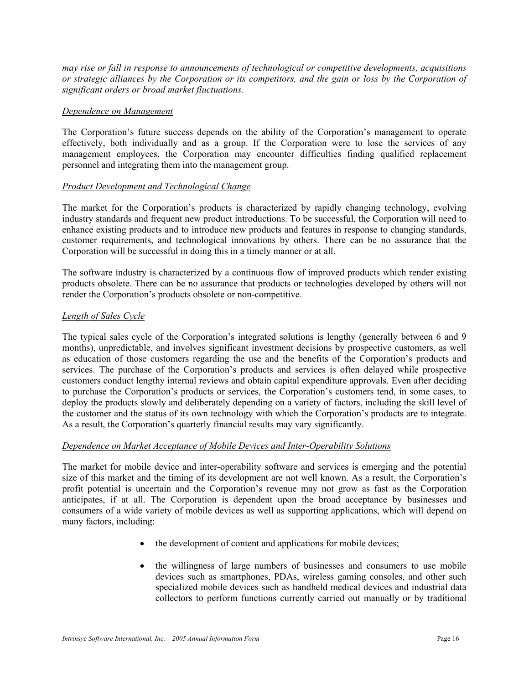*may rise or fall in response to announcements of technological or competitive developments, acquisitions or strategic alliances by the Corporation or its competitors, and the gain or loss by the Corporation of significant orders or broad market fluctuations.* 

#### *Dependence on Management*

The Corporation's future success depends on the ability of the Corporation's management to operate effectively, both individually and as a group. If the Corporation were to lose the services of any management employees, the Corporation may encounter difficulties finding qualified replacement personnel and integrating them into the management group.

#### *Product Development and Technological Change*

The market for the Corporation's products is characterized by rapidly changing technology, evolving industry standards and frequent new product introductions. To be successful, the Corporation will need to enhance existing products and to introduce new products and features in response to changing standards, customer requirements, and technological innovations by others. There can be no assurance that the Corporation will be successful in doing this in a timely manner or at all.

The software industry is characterized by a continuous flow of improved products which render existing products obsolete. There can be no assurance that products or technologies developed by others will not render the Corporation's products obsolete or non-competitive.

## *Length of Sales Cycle*

The typical sales cycle of the Corporation's integrated solutions is lengthy (generally between 6 and 9 months), unpredictable, and involves significant investment decisions by prospective customers, as well as education of those customers regarding the use and the benefits of the Corporation's products and services. The purchase of the Corporation's products and services is often delayed while prospective customers conduct lengthy internal reviews and obtain capital expenditure approvals. Even after deciding to purchase the Corporation's products or services, the Corporation's customers tend, in some cases, to deploy the products slowly and deliberately depending on a variety of factors, including the skill level of the customer and the status of its own technology with which the Corporation's products are to integrate. As a result, the Corporation's quarterly financial results may vary significantly.

#### *Dependence on Market Acceptance of Mobile Devices and Inter-Operability Solutions*

The market for mobile device and inter-operability software and services is emerging and the potential size of this market and the timing of its development are not well known. As a result, the Corporation's profit potential is uncertain and the Corporation's revenue may not grow as fast as the Corporation anticipates, if at all. The Corporation is dependent upon the broad acceptance by businesses and consumers of a wide variety of mobile devices as well as supporting applications, which will depend on many factors, including:

- the development of content and applications for mobile devices;
- the willingness of large numbers of businesses and consumers to use mobile devices such as smartphones, PDAs, wireless gaming consoles, and other such specialized mobile devices such as handheld medical devices and industrial data collectors to perform functions currently carried out manually or by traditional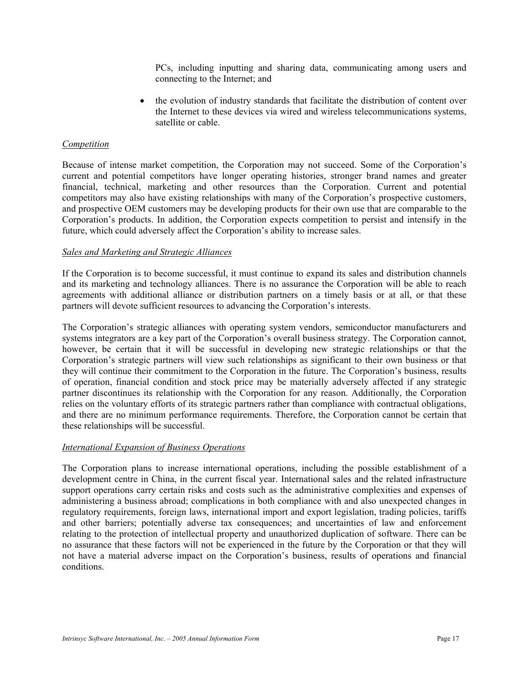PCs, including inputting and sharing data, communicating among users and connecting to the Internet; and

• the evolution of industry standards that facilitate the distribution of content over the Internet to these devices via wired and wireless telecommunications systems, satellite or cable.

#### *Competition*

Because of intense market competition, the Corporation may not succeed. Some of the Corporation's current and potential competitors have longer operating histories, stronger brand names and greater financial, technical, marketing and other resources than the Corporation. Current and potential competitors may also have existing relationships with many of the Corporation's prospective customers, and prospective OEM customers may be developing products for their own use that are comparable to the Corporation's products. In addition, the Corporation expects competition to persist and intensify in the future, which could adversely affect the Corporation's ability to increase sales.

#### *Sales and Marketing and Strategic Alliances*

If the Corporation is to become successful, it must continue to expand its sales and distribution channels and its marketing and technology alliances. There is no assurance the Corporation will be able to reach agreements with additional alliance or distribution partners on a timely basis or at all, or that these partners will devote sufficient resources to advancing the Corporation's interests.

The Corporation's strategic alliances with operating system vendors, semiconductor manufacturers and systems integrators are a key part of the Corporation's overall business strategy. The Corporation cannot, however, be certain that it will be successful in developing new strategic relationships or that the Corporation's strategic partners will view such relationships as significant to their own business or that they will continue their commitment to the Corporation in the future. The Corporation's business, results of operation, financial condition and stock price may be materially adversely affected if any strategic partner discontinues its relationship with the Corporation for any reason. Additionally, the Corporation relies on the voluntary efforts of its strategic partners rather than compliance with contractual obligations, and there are no minimum performance requirements. Therefore, the Corporation cannot be certain that these relationships will be successful.

#### *International Expansion of Business Operations*

The Corporation plans to increase international operations, including the possible establishment of a development centre in China, in the current fiscal year. International sales and the related infrastructure support operations carry certain risks and costs such as the administrative complexities and expenses of administering a business abroad; complications in both compliance with and also unexpected changes in regulatory requirements, foreign laws, international import and export legislation, trading policies, tariffs and other barriers; potentially adverse tax consequences; and uncertainties of law and enforcement relating to the protection of intellectual property and unauthorized duplication of software. There can be no assurance that these factors will not be experienced in the future by the Corporation or that they will not have a material adverse impact on the Corporation's business, results of operations and financial conditions.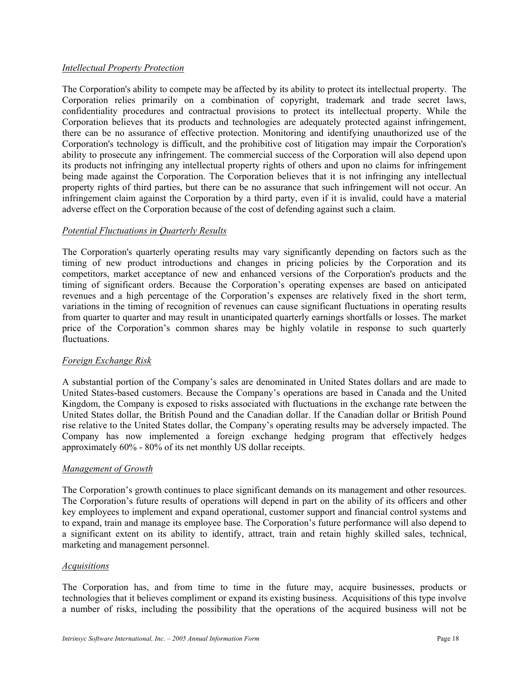## *Intellectual Property Protection*

The Corporation's ability to compete may be affected by its ability to protect its intellectual property. The Corporation relies primarily on a combination of copyright, trademark and trade secret laws, confidentiality procedures and contractual provisions to protect its intellectual property. While the Corporation believes that its products and technologies are adequately protected against infringement, there can be no assurance of effective protection. Monitoring and identifying unauthorized use of the Corporation's technology is difficult, and the prohibitive cost of litigation may impair the Corporation's ability to prosecute any infringement. The commercial success of the Corporation will also depend upon its products not infringing any intellectual property rights of others and upon no claims for infringement being made against the Corporation. The Corporation believes that it is not infringing any intellectual property rights of third parties, but there can be no assurance that such infringement will not occur. An infringement claim against the Corporation by a third party, even if it is invalid, could have a material adverse effect on the Corporation because of the cost of defending against such a claim.

#### *Potential Fluctuations in Quarterly Results*

The Corporation's quarterly operating results may vary significantly depending on factors such as the timing of new product introductions and changes in pricing policies by the Corporation and its competitors, market acceptance of new and enhanced versions of the Corporation's products and the timing of significant orders. Because the Corporation's operating expenses are based on anticipated revenues and a high percentage of the Corporation's expenses are relatively fixed in the short term, variations in the timing of recognition of revenues can cause significant fluctuations in operating results from quarter to quarter and may result in unanticipated quarterly earnings shortfalls or losses. The market price of the Corporation's common shares may be highly volatile in response to such quarterly fluctuations.

## *Foreign Exchange Risk*

A substantial portion of the Company's sales are denominated in United States dollars and are made to United States-based customers. Because the Company's operations are based in Canada and the United Kingdom, the Company is exposed to risks associated with fluctuations in the exchange rate between the United States dollar, the British Pound and the Canadian dollar. If the Canadian dollar or British Pound rise relative to the United States dollar, the Company's operating results may be adversely impacted. The Company has now implemented a foreign exchange hedging program that effectively hedges approximately 60% - 80% of its net monthly US dollar receipts.

## *Management of Growth*

The Corporation's growth continues to place significant demands on its management and other resources. The Corporation's future results of operations will depend in part on the ability of its officers and other key employees to implement and expand operational, customer support and financial control systems and to expand, train and manage its employee base. The Corporation's future performance will also depend to a significant extent on its ability to identify, attract, train and retain highly skilled sales, technical, marketing and management personnel.

#### *Acquisitions*

The Corporation has, and from time to time in the future may, acquire businesses, products or technologies that it believes compliment or expand its existing business. Acquisitions of this type involve a number of risks, including the possibility that the operations of the acquired business will not be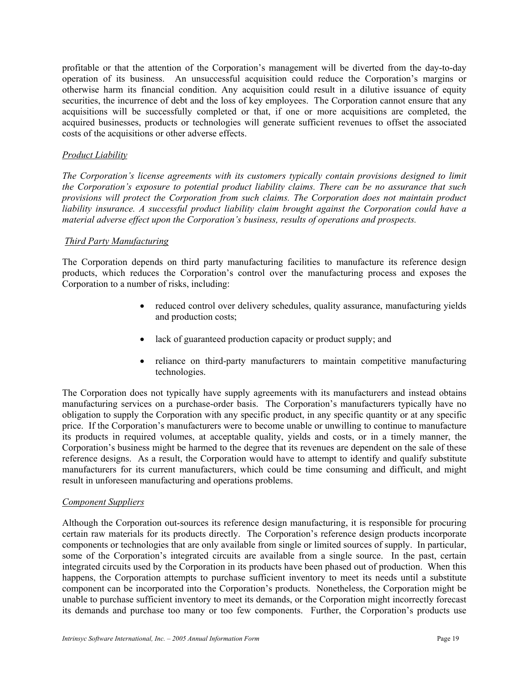profitable or that the attention of the Corporation's management will be diverted from the day-to-day operation of its business. An unsuccessful acquisition could reduce the Corporation's margins or otherwise harm its financial condition. Any acquisition could result in a dilutive issuance of equity securities, the incurrence of debt and the loss of key employees. The Corporation cannot ensure that any acquisitions will be successfully completed or that, if one or more acquisitions are completed, the acquired businesses, products or technologies will generate sufficient revenues to offset the associated costs of the acquisitions or other adverse effects.

## *Product Liability*

*The Corporation's license agreements with its customers typically contain provisions designed to limit the Corporation's exposure to potential product liability claims. There can be no assurance that such provisions will protect the Corporation from such claims. The Corporation does not maintain product liability insurance. A successful product liability claim brought against the Corporation could have a material adverse effect upon the Corporation's business, results of operations and prospects.* 

#### *Third Party Manufacturing*

The Corporation depends on third party manufacturing facilities to manufacture its reference design products, which reduces the Corporation's control over the manufacturing process and exposes the Corporation to a number of risks, including:

- reduced control over delivery schedules, quality assurance, manufacturing yields and production costs;
- lack of guaranteed production capacity or product supply; and
- reliance on third-party manufacturers to maintain competitive manufacturing technologies.

The Corporation does not typically have supply agreements with its manufacturers and instead obtains manufacturing services on a purchase-order basis. The Corporation's manufacturers typically have no obligation to supply the Corporation with any specific product, in any specific quantity or at any specific price. If the Corporation's manufacturers were to become unable or unwilling to continue to manufacture its products in required volumes, at acceptable quality, yields and costs, or in a timely manner, the Corporation's business might be harmed to the degree that its revenues are dependent on the sale of these reference designs. As a result, the Corporation would have to attempt to identify and qualify substitute manufacturers for its current manufacturers, which could be time consuming and difficult, and might result in unforeseen manufacturing and operations problems.

#### *Component Suppliers*

Although the Corporation out-sources its reference design manufacturing, it is responsible for procuring certain raw materials for its products directly. The Corporation's reference design products incorporate components or technologies that are only available from single or limited sources of supply. In particular, some of the Corporation's integrated circuits are available from a single source. In the past, certain integrated circuits used by the Corporation in its products have been phased out of production. When this happens, the Corporation attempts to purchase sufficient inventory to meet its needs until a substitute component can be incorporated into the Corporation's products. Nonetheless, the Corporation might be unable to purchase sufficient inventory to meet its demands, or the Corporation might incorrectly forecast its demands and purchase too many or too few components. Further, the Corporation's products use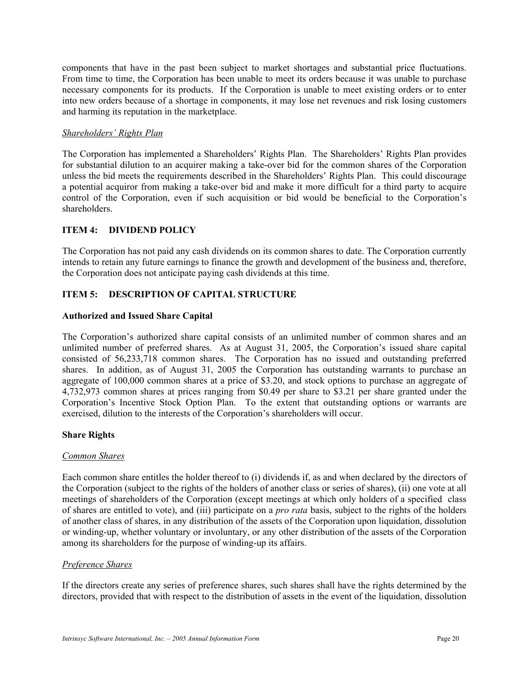components that have in the past been subject to market shortages and substantial price fluctuations. From time to time, the Corporation has been unable to meet its orders because it was unable to purchase necessary components for its products. If the Corporation is unable to meet existing orders or to enter into new orders because of a shortage in components, it may lose net revenues and risk losing customers and harming its reputation in the marketplace.

#### *Shareholders' Rights Plan*

The Corporation has implemented a Shareholders' Rights Plan. The Shareholders' Rights Plan provides for substantial dilution to an acquirer making a take-over bid for the common shares of the Corporation unless the bid meets the requirements described in the Shareholders' Rights Plan. This could discourage a potential acquiror from making a take-over bid and make it more difficult for a third party to acquire control of the Corporation, even if such acquisition or bid would be beneficial to the Corporation's shareholders.

## **ITEM 4: DIVIDEND POLICY**

The Corporation has not paid any cash dividends on its common shares to date. The Corporation currently intends to retain any future earnings to finance the growth and development of the business and, therefore, the Corporation does not anticipate paying cash dividends at this time.

## **ITEM 5: DESCRIPTION OF CAPITAL STRUCTURE**

#### **Authorized and Issued Share Capital**

The Corporation's authorized share capital consists of an unlimited number of common shares and an unlimited number of preferred shares. As at August 31, 2005, the Corporation's issued share capital consisted of 56,233,718 common shares. The Corporation has no issued and outstanding preferred shares. In addition, as of August 31, 2005 the Corporation has outstanding warrants to purchase an aggregate of 100,000 common shares at a price of \$3.20, and stock options to purchase an aggregate of 4,732,973 common shares at prices ranging from \$0.49 per share to \$3.21 per share granted under the Corporation's Incentive Stock Option Plan. To the extent that outstanding options or warrants are exercised, dilution to the interests of the Corporation's shareholders will occur.

## **Share Rights**

#### *Common Shares*

Each common share entitles the holder thereof to (i) dividends if, as and when declared by the directors of the Corporation (subject to the rights of the holders of another class or series of shares), (ii) one vote at all meetings of shareholders of the Corporation (except meetings at which only holders of a specified class of shares are entitled to vote), and (iii) participate on a *pro rata* basis, subject to the rights of the holders of another class of shares, in any distribution of the assets of the Corporation upon liquidation, dissolution or winding-up, whether voluntary or involuntary, or any other distribution of the assets of the Corporation among its shareholders for the purpose of winding-up its affairs.

#### *Preference Shares*

If the directors create any series of preference shares, such shares shall have the rights determined by the directors, provided that with respect to the distribution of assets in the event of the liquidation, dissolution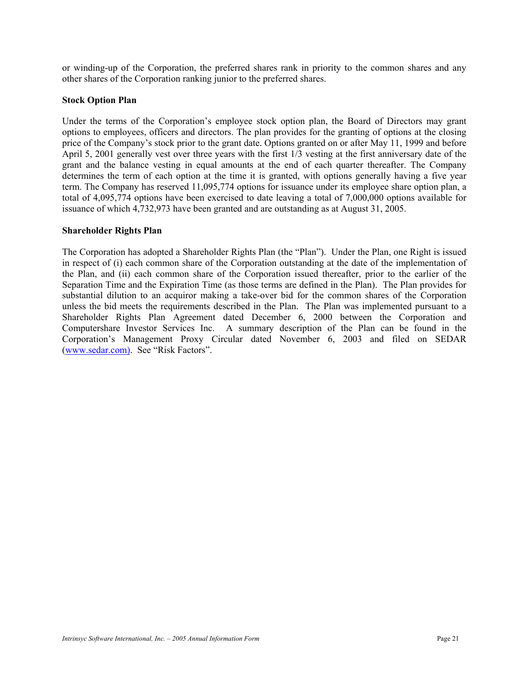or winding-up of the Corporation, the preferred shares rank in priority to the common shares and any other shares of the Corporation ranking junior to the preferred shares.

#### **Stock Option Plan**

Under the terms of the Corporation's employee stock option plan, the Board of Directors may grant options to employees, officers and directors. The plan provides for the granting of options at the closing price of the Company's stock prior to the grant date. Options granted on or after May 11, 1999 and before April 5, 2001 generally vest over three years with the first 1/3 vesting at the first anniversary date of the grant and the balance vesting in equal amounts at the end of each quarter thereafter. The Company determines the term of each option at the time it is granted, with options generally having a five year term. The Company has reserved 11,095,774 options for issuance under its employee share option plan, a total of 4,095,774 options have been exercised to date leaving a total of 7,000,000 options available for issuance of which 4,732,973 have been granted and are outstanding as at August 31, 2005.

#### **Shareholder Rights Plan**

The Corporation has adopted a Shareholder Rights Plan (the "Plan"). Under the Plan, one Right is issued in respect of (i) each common share of the Corporation outstanding at the date of the implementation of the Plan, and (ii) each common share of the Corporation issued thereafter, prior to the earlier of the Separation Time and the Expiration Time (as those terms are defined in the Plan). The Plan provides for substantial dilution to an acquiror making a take-over bid for the common shares of the Corporation unless the bid meets the requirements described in the Plan. The Plan was implemented pursuant to a Shareholder Rights Plan Agreement dated December 6, 2000 between the Corporation and Computershare Investor Services Inc. A summary description of the Plan can be found in the Corporation's Management Proxy Circular dated November 6, 2003 and filed on SEDAR (www.sedar.com). See "Risk Factors".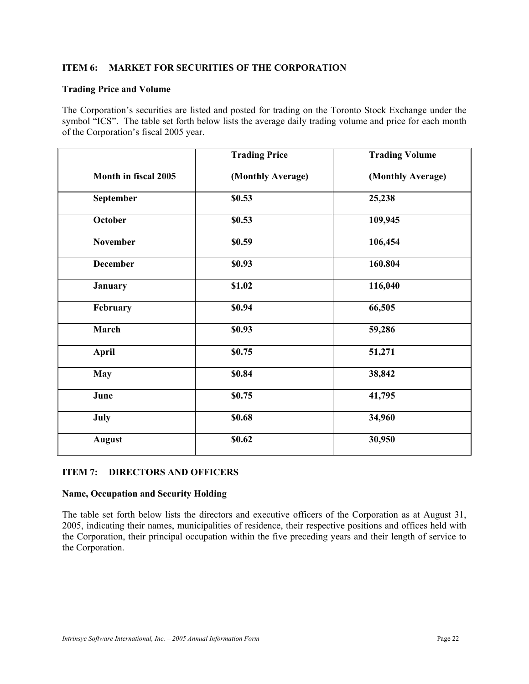## **ITEM 6: MARKET FOR SECURITIES OF THE CORPORATION**

## **Trading Price and Volume**

The Corporation's securities are listed and posted for trading on the Toronto Stock Exchange under the symbol "ICS". The table set forth below lists the average daily trading volume and price for each month of the Corporation's fiscal 2005 year.

|                      | <b>Trading Price</b> | <b>Trading Volume</b> |
|----------------------|----------------------|-----------------------|
| Month in fiscal 2005 | (Monthly Average)    | (Monthly Average)     |
| September            | \$0.53               | 25,238                |
| October              | \$0.53               | 109,945               |
| <b>November</b>      | \$0.59               | 106,454               |
| <b>December</b>      | \$0.93               | 160.804               |
| <b>January</b>       | \$1.02               | 116,040               |
| February             | \$0.94               | 66,505                |
| March                | \$0.93               | 59,286                |
| <b>April</b>         | \$0.75               | 51,271                |
| <b>May</b>           | \$0.84               | 38,842                |
| June                 | \$0.75               | 41,795                |
| July                 | \$0.68               | 34,960                |
| <b>August</b>        | \$0.62               | 30,950                |

## **ITEM 7: DIRECTORS AND OFFICERS**

## **Name, Occupation and Security Holding**

The table set forth below lists the directors and executive officers of the Corporation as at August 31, 2005, indicating their names, municipalities of residence, their respective positions and offices held with the Corporation, their principal occupation within the five preceding years and their length of service to the Corporation.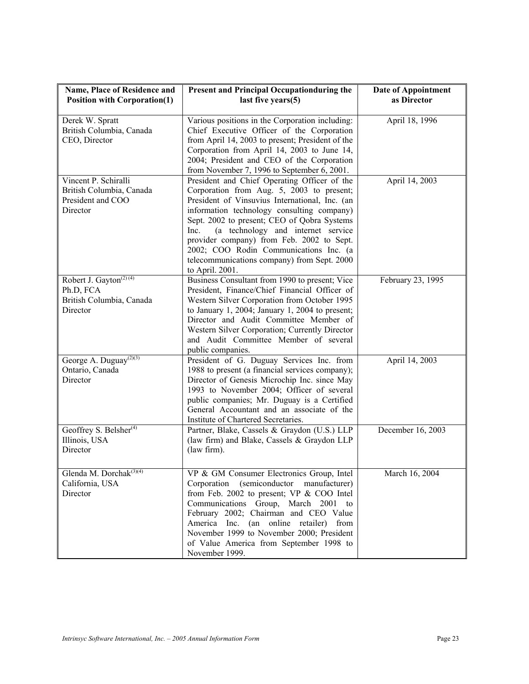| Name, Place of Residence and<br><b>Position with Corporation(1)</b>                     | Present and Principal Occupationduring the<br>last five years(5)                                                                                                                                                                                                                                                                                                                                                                                | Date of Appointment<br>as Director |
|-----------------------------------------------------------------------------------------|-------------------------------------------------------------------------------------------------------------------------------------------------------------------------------------------------------------------------------------------------------------------------------------------------------------------------------------------------------------------------------------------------------------------------------------------------|------------------------------------|
| Derek W. Spratt<br>British Columbia, Canada<br>CEO, Director                            | Various positions in the Corporation including:<br>Chief Executive Officer of the Corporation<br>from April 14, 2003 to present; President of the<br>Corporation from April 14, 2003 to June 14,<br>2004; President and CEO of the Corporation<br>from November 7, 1996 to September 6, 2001.                                                                                                                                                   | April 18, 1996                     |
| Vincent P. Schiralli<br>British Columbia, Canada<br>President and COO<br>Director       | President and Chief Operating Officer of the<br>Corporation from Aug. 5, 2003 to present;<br>President of Vinsuvius International, Inc. (an<br>information technology consulting company)<br>Sept. 2002 to present; CEO of Qobra Systems<br>(a technology and internet service<br>Inc.<br>provider company) from Feb. 2002 to Sept.<br>2002; COO Rodin Communications Inc. (a<br>telecommunications company) from Sept. 2000<br>to April. 2001. | April 14, 2003                     |
| Robert J. Gayton <sup>(2)(4)</sup><br>Ph.D, FCA<br>British Columbia, Canada<br>Director | Business Consultant from 1990 to present; Vice<br>President, Finance/Chief Financial Officer of<br>Western Silver Corporation from October 1995<br>to January 1, 2004; January 1, 2004 to present;<br>Director and Audit Committee Member of<br>Western Silver Corporation; Currently Director<br>and Audit Committee Member of several<br>public companies.                                                                                    | February 23, 1995                  |
| George A. Duguay <sup>(2)(3)</sup><br>Ontario, Canada<br>Director                       | President of G. Duguay Services Inc. from<br>1988 to present (a financial services company);<br>Director of Genesis Microchip Inc. since May<br>1993 to November 2004; Officer of several<br>public companies; Mr. Duguay is a Certified<br>General Accountant and an associate of the<br>Institute of Chartered Secretaries.                                                                                                                   | April 14, 2003                     |
| Geoffrey S. Belsher <sup>(4)</sup><br>Illinois, USA<br>Director                         | Partner, Blake, Cassels & Graydon (U.S.) LLP<br>(law firm) and Blake, Cassels & Graydon LLP<br>(law firm).                                                                                                                                                                                                                                                                                                                                      | December 16, 2003                  |
| Glenda M. Dorchak <sup>(3)(4)</sup><br>California, USA<br>Director                      | VP & GM Consumer Electronics Group, Intel<br>Corporation (semiconductor manufacturer)<br>from Feb. 2002 to present; VP & COO Intel<br>Communications Group, March 2001<br>to<br>February 2002; Chairman and CEO Value<br>America Inc. (an online retailer)<br>from<br>November 1999 to November 2000; President<br>of Value America from September 1998 to<br>November 1999.                                                                    | March 16, 2004                     |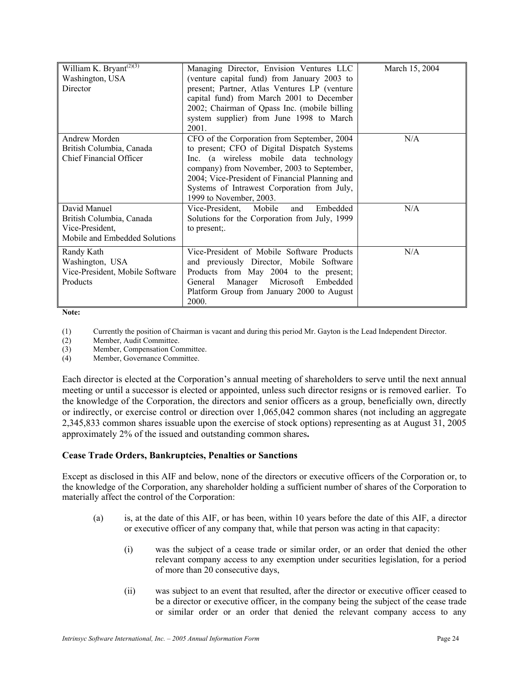| William K. Bryant <sup>(2)(3)</sup><br>Washington, USA<br>Director                           | Managing Director, Envision Ventures LLC<br>(venture capital fund) from January 2003 to<br>present; Partner, Atlas Ventures LP (venture<br>capital fund) from March 2001 to December<br>2002; Chairman of Qpass Inc. (mobile billing<br>system supplier) from June 1998 to March<br>2001.                       | March 15, 2004 |
|----------------------------------------------------------------------------------------------|-----------------------------------------------------------------------------------------------------------------------------------------------------------------------------------------------------------------------------------------------------------------------------------------------------------------|----------------|
| Andrew Morden<br>British Columbia, Canada<br><b>Chief Financial Officer</b>                  | CFO of the Corporation from September, 2004<br>to present; CFO of Digital Dispatch Systems<br>Inc. (a wireless mobile data technology<br>company) from November, 2003 to September,<br>2004; Vice-President of Financial Planning and<br>Systems of Intrawest Corporation from July,<br>1999 to November, 2003. | N/A            |
| David Manuel<br>British Columbia, Canada<br>Vice-President,<br>Mobile and Embedded Solutions | Embedded<br>Vice-President, Mobile<br>and<br>Solutions for the Corporation from July, 1999<br>to present;                                                                                                                                                                                                       | N/A            |
| Randy Kath<br>Washington, USA<br>Vice-President, Mobile Software<br>Products                 | Vice-President of Mobile Software Products<br>and previously Director, Mobile Software<br>Products from May 2004 to the present;<br>Manager Microsoft Embedded<br>General<br>Platform Group from January 2000 to August<br>2000.                                                                                | N/A            |

**Note:** 

(1) Currently the position of Chairman is vacant and during this period Mr. Gayton is the Lead Independent Director.

(2) Member, Audit Committee.<br>
(3) Member, Compensation Cor

Member, Compensation Committee.

(4) Member, Governance Committee.

Each director is elected at the Corporation's annual meeting of shareholders to serve until the next annual meeting or until a successor is elected or appointed, unless such director resigns or is removed earlier. To the knowledge of the Corporation, the directors and senior officers as a group, beneficially own, directly or indirectly, or exercise control or direction over 1,065,042 common shares (not including an aggregate 2,345,833 common shares issuable upon the exercise of stock options) representing as at August 31, 2005 approximately 2% of the issued and outstanding common shares**.** 

#### **Cease Trade Orders, Bankruptcies, Penalties or Sanctions**

Except as disclosed in this AIF and below, none of the directors or executive officers of the Corporation or, to the knowledge of the Corporation, any shareholder holding a sufficient number of shares of the Corporation to materially affect the control of the Corporation:

- (a) is, at the date of this AIF, or has been, within 10 years before the date of this AIF, a director or executive officer of any company that, while that person was acting in that capacity:
	- (i) was the subject of a cease trade or similar order, or an order that denied the other relevant company access to any exemption under securities legislation, for a period of more than 20 consecutive days,
	- (ii) was subject to an event that resulted, after the director or executive officer ceased to be a director or executive officer, in the company being the subject of the cease trade or similar order or an order that denied the relevant company access to any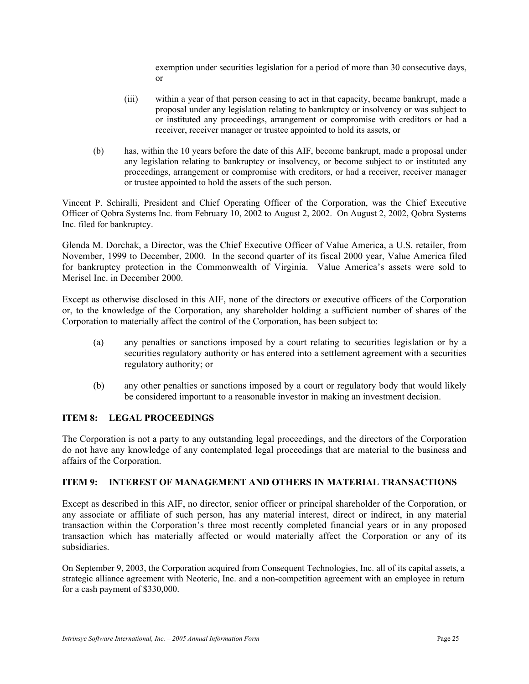exemption under securities legislation for a period of more than 30 consecutive days, or

- (iii) within a year of that person ceasing to act in that capacity, became bankrupt, made a proposal under any legislation relating to bankruptcy or insolvency or was subject to or instituted any proceedings, arrangement or compromise with creditors or had a receiver, receiver manager or trustee appointed to hold its assets, or
- (b) has, within the 10 years before the date of this AIF, become bankrupt, made a proposal under any legislation relating to bankruptcy or insolvency, or become subject to or instituted any proceedings, arrangement or compromise with creditors, or had a receiver, receiver manager or trustee appointed to hold the assets of the such person.

Vincent P. Schiralli, President and Chief Operating Officer of the Corporation, was the Chief Executive Officer of Qobra Systems Inc. from February 10, 2002 to August 2, 2002. On August 2, 2002, Qobra Systems Inc. filed for bankruptcy.

Glenda M. Dorchak, a Director, was the Chief Executive Officer of Value America, a U.S. retailer, from November, 1999 to December, 2000. In the second quarter of its fiscal 2000 year, Value America filed for bankruptcy protection in the Commonwealth of Virginia. Value America's assets were sold to Merisel Inc. in December 2000.

Except as otherwise disclosed in this AIF, none of the directors or executive officers of the Corporation or, to the knowledge of the Corporation, any shareholder holding a sufficient number of shares of the Corporation to materially affect the control of the Corporation, has been subject to:

- (a) any penalties or sanctions imposed by a court relating to securities legislation or by a securities regulatory authority or has entered into a settlement agreement with a securities regulatory authority; or
- (b) any other penalties or sanctions imposed by a court or regulatory body that would likely be considered important to a reasonable investor in making an investment decision.

## **ITEM 8: LEGAL PROCEEDINGS**

The Corporation is not a party to any outstanding legal proceedings, and the directors of the Corporation do not have any knowledge of any contemplated legal proceedings that are material to the business and affairs of the Corporation.

## **ITEM 9: INTEREST OF MANAGEMENT AND OTHERS IN MATERIAL TRANSACTIONS**

Except as described in this AIF, no director, senior officer or principal shareholder of the Corporation, or any associate or affiliate of such person, has any material interest, direct or indirect, in any material transaction within the Corporation's three most recently completed financial years or in any proposed transaction which has materially affected or would materially affect the Corporation or any of its subsidiaries.

On September 9, 2003, the Corporation acquired from Consequent Technologies, Inc. all of its capital assets, a strategic alliance agreement with Neoteric, Inc. and a non-competition agreement with an employee in return for a cash payment of \$330,000.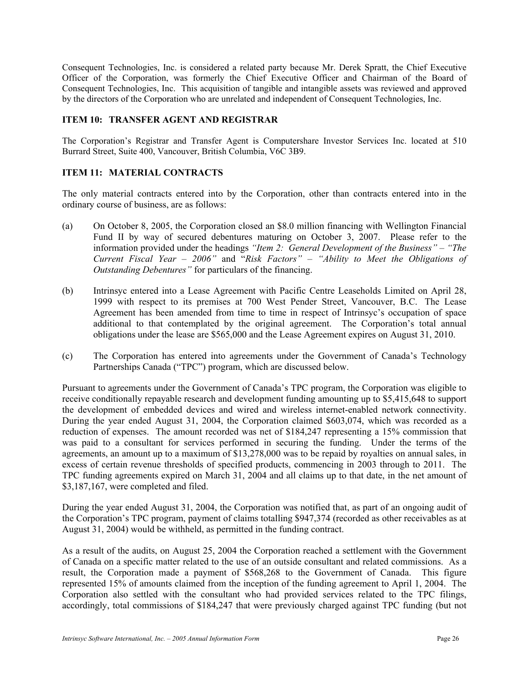Consequent Technologies, Inc. is considered a related party because Mr. Derek Spratt, the Chief Executive Officer of the Corporation, was formerly the Chief Executive Officer and Chairman of the Board of Consequent Technologies, Inc. This acquisition of tangible and intangible assets was reviewed and approved by the directors of the Corporation who are unrelated and independent of Consequent Technologies, Inc.

#### **ITEM 10: TRANSFER AGENT AND REGISTRAR**

The Corporation's Registrar and Transfer Agent is Computershare Investor Services Inc. located at 510 Burrard Street, Suite 400, Vancouver, British Columbia, V6C 3B9.

#### **ITEM 11: MATERIAL CONTRACTS**

The only material contracts entered into by the Corporation, other than contracts entered into in the ordinary course of business, are as follows:

- (a) On October 8, 2005, the Corporation closed an \$8.0 million financing with Wellington Financial Fund II by way of secured debentures maturing on October 3, 2007. Please refer to the information provided under the headings *"Item 2: General Development of the Business" – "The Current Fiscal Year – 2006"* and "*Risk Factors" – "Ability to Meet the Obligations of Outstanding Debentures"* for particulars of the financing.
- (b) Intrinsyc entered into a Lease Agreement with Pacific Centre Leaseholds Limited on April 28, 1999 with respect to its premises at 700 West Pender Street, Vancouver, B.C. The Lease Agreement has been amended from time to time in respect of Intrinsyc's occupation of space additional to that contemplated by the original agreement. The Corporation's total annual obligations under the lease are \$565,000 and the Lease Agreement expires on August 31, 2010.
- (c) The Corporation has entered into agreements under the Government of Canada's Technology Partnerships Canada ("TPC") program, which are discussed below.

Pursuant to agreements under the Government of Canada's TPC program, the Corporation was eligible to receive conditionally repayable research and development funding amounting up to \$5,415,648 to support the development of embedded devices and wired and wireless internet-enabled network connectivity. During the year ended August 31, 2004, the Corporation claimed \$603,074, which was recorded as a reduction of expenses. The amount recorded was net of \$184,247 representing a 15% commission that was paid to a consultant for services performed in securing the funding. Under the terms of the agreements, an amount up to a maximum of \$13,278,000 was to be repaid by royalties on annual sales, in excess of certain revenue thresholds of specified products, commencing in 2003 through to 2011. The TPC funding agreements expired on March 31, 2004 and all claims up to that date, in the net amount of \$3,187,167, were completed and filed.

During the year ended August 31, 2004, the Corporation was notified that, as part of an ongoing audit of the Corporation's TPC program, payment of claims totalling \$947,374 (recorded as other receivables as at August 31, 2004) would be withheld, as permitted in the funding contract.

As a result of the audits, on August 25, 2004 the Corporation reached a settlement with the Government of Canada on a specific matter related to the use of an outside consultant and related commissions. As a result, the Corporation made a payment of \$568,268 to the Government of Canada. This figure represented 15% of amounts claimed from the inception of the funding agreement to April 1, 2004. The Corporation also settled with the consultant who had provided services related to the TPC filings, accordingly, total commissions of \$184,247 that were previously charged against TPC funding (but not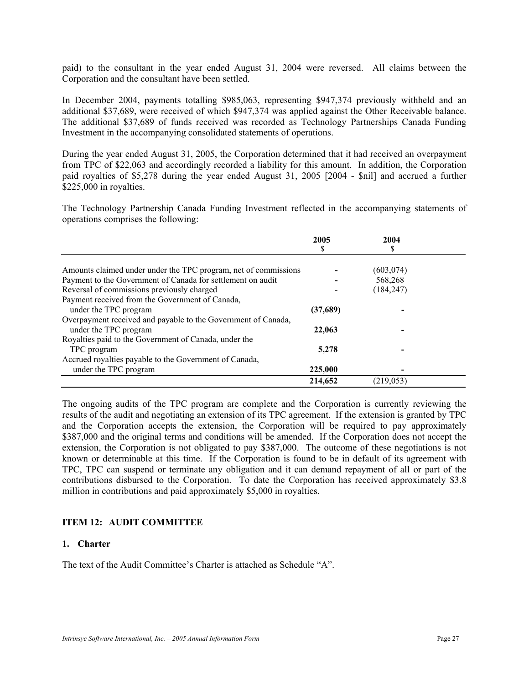paid) to the consultant in the year ended August 31, 2004 were reversed. All claims between the Corporation and the consultant have been settled.

In December 2004, payments totalling \$985,063, representing \$947,374 previously withheld and an additional \$37,689, were received of which \$947,374 was applied against the Other Receivable balance. The additional \$37,689 of funds received was recorded as Technology Partnerships Canada Funding Investment in the accompanying consolidated statements of operations.

During the year ended August 31, 2005, the Corporation determined that it had received an overpayment from TPC of \$22,063 and accordingly recorded a liability for this amount. In addition, the Corporation paid royalties of \$5,278 during the year ended August 31, 2005 [2004 - \$nil] and accrued a further \$225,000 in royalties.

The Technology Partnership Canada Funding Investment reflected in the accompanying statements of operations comprises the following:

|                                                                 | 2005     | 2004       |  |
|-----------------------------------------------------------------|----------|------------|--|
|                                                                 | ъ        |            |  |
|                                                                 |          |            |  |
| Amounts claimed under under the TPC program, net of commissions |          | (603, 074) |  |
| Payment to the Government of Canada for settlement on audit     |          | 568,268    |  |
| Reversal of commissions previously charged                      |          | (184, 247) |  |
| Payment received from the Government of Canada,                 |          |            |  |
| under the TPC program                                           | (37,689) |            |  |
| Overpayment received and payable to the Government of Canada,   |          |            |  |
| under the TPC program                                           | 22,063   |            |  |
| Royalties paid to the Government of Canada, under the           |          |            |  |
| TPC program                                                     | 5,278    |            |  |
| Accrued royalties payable to the Government of Canada,          |          |            |  |
| under the TPC program                                           | 225,000  |            |  |
|                                                                 | 214,652  | (219.053)  |  |

The ongoing audits of the TPC program are complete and the Corporation is currently reviewing the results of the audit and negotiating an extension of its TPC agreement. If the extension is granted by TPC and the Corporation accepts the extension, the Corporation will be required to pay approximately \$387,000 and the original terms and conditions will be amended. If the Corporation does not accept the extension, the Corporation is not obligated to pay \$387,000. The outcome of these negotiations is not known or determinable at this time. If the Corporation is found to be in default of its agreement with TPC, TPC can suspend or terminate any obligation and it can demand repayment of all or part of the contributions disbursed to the Corporation. To date the Corporation has received approximately \$3.8 million in contributions and paid approximately \$5,000 in royalties.

## **ITEM 12: AUDIT COMMITTEE**

#### **1. Charter**

The text of the Audit Committee's Charter is attached as Schedule "A".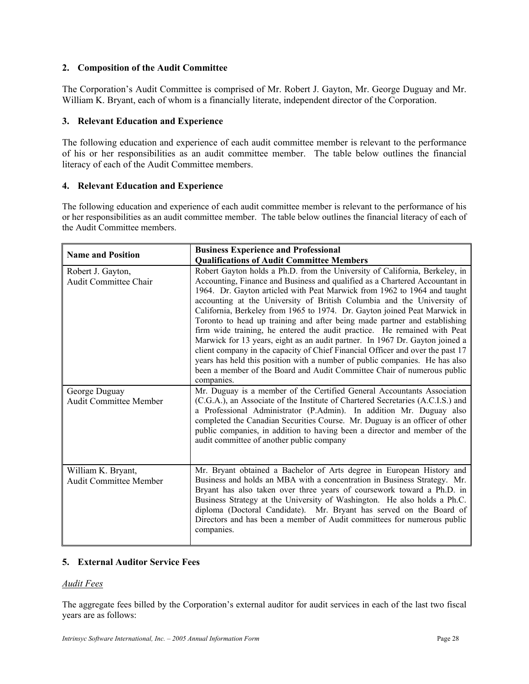## **2. Composition of the Audit Committee**

The Corporation's Audit Committee is comprised of Mr. Robert J. Gayton, Mr. George Duguay and Mr. William K. Bryant, each of whom is a financially literate, independent director of the Corporation.

## **3. Relevant Education and Experience**

The following education and experience of each audit committee member is relevant to the performance of his or her responsibilities as an audit committee member. The table below outlines the financial literacy of each of the Audit Committee members.

## **4. Relevant Education and Experience**

The following education and experience of each audit committee member is relevant to the performance of his or her responsibilities as an audit committee member. The table below outlines the financial literacy of each of the Audit Committee members.

| <b>Name and Position</b>                            | <b>Business Experience and Professional</b>                                                                                                                                                                                                                                                                                                                                                                                                                                                                                                                                                                                                                                                                                                                                                                       |
|-----------------------------------------------------|-------------------------------------------------------------------------------------------------------------------------------------------------------------------------------------------------------------------------------------------------------------------------------------------------------------------------------------------------------------------------------------------------------------------------------------------------------------------------------------------------------------------------------------------------------------------------------------------------------------------------------------------------------------------------------------------------------------------------------------------------------------------------------------------------------------------|
|                                                     | <b>Qualifications of Audit Committee Members</b>                                                                                                                                                                                                                                                                                                                                                                                                                                                                                                                                                                                                                                                                                                                                                                  |
| Robert J. Gayton,                                   | Robert Gayton holds a Ph.D. from the University of California, Berkeley, in                                                                                                                                                                                                                                                                                                                                                                                                                                                                                                                                                                                                                                                                                                                                       |
| <b>Audit Committee Chair</b>                        | Accounting, Finance and Business and qualified as a Chartered Accountant in<br>1964. Dr. Gayton articled with Peat Marwick from 1962 to 1964 and taught<br>accounting at the University of British Columbia and the University of<br>California, Berkeley from 1965 to 1974. Dr. Gayton joined Peat Marwick in<br>Toronto to head up training and after being made partner and establishing<br>firm wide training, he entered the audit practice. He remained with Peat<br>Marwick for 13 years, eight as an audit partner. In 1967 Dr. Gayton joined a<br>client company in the capacity of Chief Financial Officer and over the past 17<br>years has held this position with a number of public companies. He has also<br>been a member of the Board and Audit Committee Chair of numerous public<br>companies. |
| George Duguay<br><b>Audit Committee Member</b>      | Mr. Duguay is a member of the Certified General Accountants Association<br>(C.G.A.), an Associate of the Institute of Chartered Secretaries (A.C.I.S.) and<br>a Professional Administrator (P.Admin). In addition Mr. Duguay also<br>completed the Canadian Securities Course. Mr. Duguay is an officer of other<br>public companies, in addition to having been a director and member of the<br>audit committee of another public company                                                                                                                                                                                                                                                                                                                                                                        |
| William K. Bryant,<br><b>Audit Committee Member</b> | Mr. Bryant obtained a Bachelor of Arts degree in European History and<br>Business and holds an MBA with a concentration in Business Strategy. Mr.<br>Bryant has also taken over three years of coursework toward a Ph.D. in<br>Business Strategy at the University of Washington. He also holds a Ph.C.<br>diploma (Doctoral Candidate). Mr. Bryant has served on the Board of<br>Directors and has been a member of Audit committees for numerous public<br>companies.                                                                                                                                                                                                                                                                                                                                           |

## **5. External Auditor Service Fees**

## *Audit Fees*

The aggregate fees billed by the Corporation's external auditor for audit services in each of the last two fiscal years are as follows: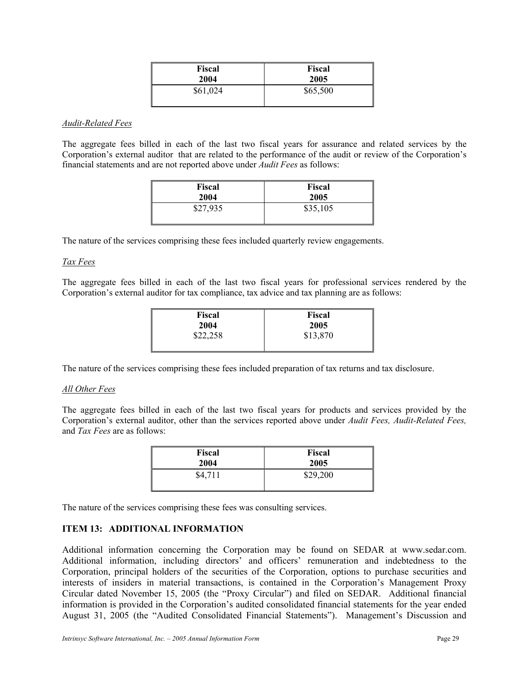| Fiscal   | <b>Fiscal</b> |
|----------|---------------|
| 2004     | 2005          |
| \$61,024 | \$65,500      |

#### *Audit-Related Fees*

The aggregate fees billed in each of the last two fiscal years for assurance and related services by the Corporation's external auditor that are related to the performance of the audit or review of the Corporation's financial statements and are not reported above under *Audit Fees* as follows:

| Fiscal   | <b>Fiscal</b> |
|----------|---------------|
| 2004     | 2005          |
| \$27,935 | \$35,105      |

The nature of the services comprising these fees included quarterly review engagements.

#### *Tax Fees*

The aggregate fees billed in each of the last two fiscal years for professional services rendered by the Corporation's external auditor for tax compliance, tax advice and tax planning are as follows:

| Fiscal   | <b>Fiscal</b> |
|----------|---------------|
| 2004     | 2005          |
| \$22,258 | \$13,870      |
|          |               |

The nature of the services comprising these fees included preparation of tax returns and tax disclosure.

#### *All Other Fees*

The aggregate fees billed in each of the last two fiscal years for products and services provided by the Corporation's external auditor, other than the services reported above under *Audit Fees, Audit-Related Fees,*  and *Tax Fees* are as follows:

| <b>Fiscal</b> | <b>Fiscal</b> |
|---------------|---------------|
| 2004          | 2005          |
| \$4,711       | \$29,200      |

The nature of the services comprising these fees was consulting services.

#### **ITEM 13: ADDITIONAL INFORMATION**

Additional information concerning the Corporation may be found on SEDAR at www.sedar.com. Additional information, including directors' and officers' remuneration and indebtedness to the Corporation, principal holders of the securities of the Corporation, options to purchase securities and interests of insiders in material transactions, is contained in the Corporation's Management Proxy Circular dated November 15, 2005 (the "Proxy Circular") and filed on SEDAR. Additional financial information is provided in the Corporation's audited consolidated financial statements for the year ended August 31, 2005 (the "Audited Consolidated Financial Statements"). Management's Discussion and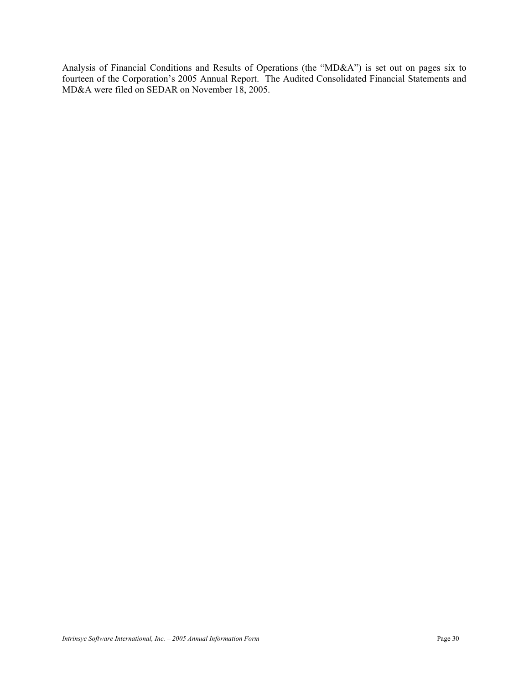Analysis of Financial Conditions and Results of Operations (the "MD&A") is set out on pages six to fourteen of the Corporation's 2005 Annual Report. The Audited Consolidated Financial Statements and MD&A were filed on SEDAR on November 18, 2005.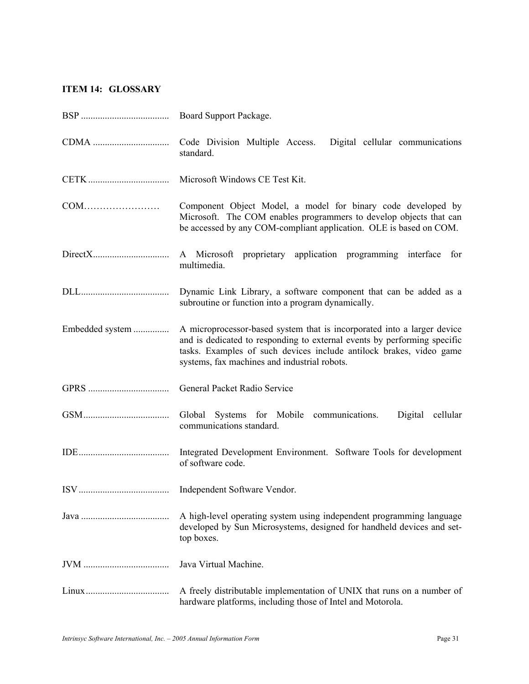# **ITEM 14: GLOSSARY**

|                 | Board Support Package.                                                                                                                                                                                                                                                     |
|-----------------|----------------------------------------------------------------------------------------------------------------------------------------------------------------------------------------------------------------------------------------------------------------------------|
|                 | Code Division Multiple Access. Digital cellular communications<br>standard.                                                                                                                                                                                                |
|                 | Microsoft Windows CE Test Kit.                                                                                                                                                                                                                                             |
|                 | Component Object Model, a model for binary code developed by<br>Microsoft. The COM enables programmers to develop objects that can<br>be accessed by any COM-compliant application. OLE is based on COM.                                                                   |
|                 | A Microsoft proprietary application programming interface for<br>multimedia.                                                                                                                                                                                               |
|                 | Dynamic Link Library, a software component that can be added as a<br>subroutine or function into a program dynamically.                                                                                                                                                    |
| Embedded system | A microprocessor-based system that is incorporated into a larger device<br>and is dedicated to responding to external events by performing specific<br>tasks. Examples of such devices include antilock brakes, video game<br>systems, fax machines and industrial robots. |
|                 | General Packet Radio Service                                                                                                                                                                                                                                               |
|                 | Global Systems for Mobile communications.<br>Digital cellular<br>communications standard.                                                                                                                                                                                  |
|                 | Integrated Development Environment. Software Tools for development<br>of software code.                                                                                                                                                                                    |
|                 |                                                                                                                                                                                                                                                                            |
|                 | A high-level operating system using independent programming language<br>developed by Sun Microsystems, designed for handheld devices and set-<br>top boxes.                                                                                                                |
|                 | Java Virtual Machine.                                                                                                                                                                                                                                                      |
|                 | A freely distributable implementation of UNIX that runs on a number of<br>hardware platforms, including those of Intel and Motorola.                                                                                                                                       |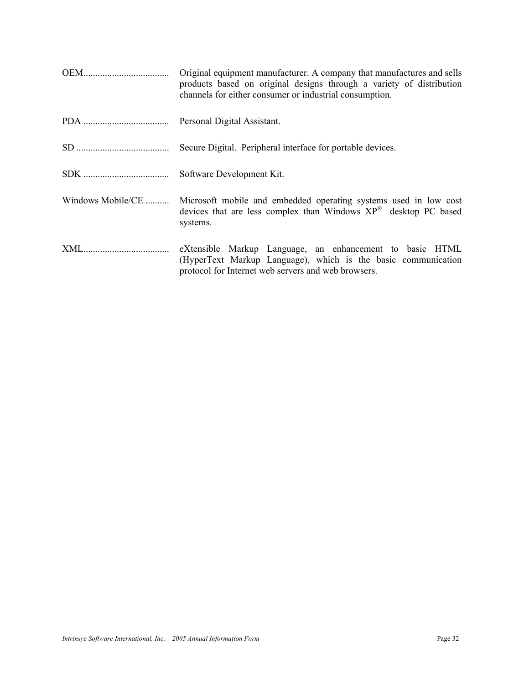|                   | Original equipment manufacturer. A company that manufactures and sells<br>products based on original designs through a variety of distribution<br>channels for either consumer or industrial consumption. |
|-------------------|-----------------------------------------------------------------------------------------------------------------------------------------------------------------------------------------------------------|
|                   |                                                                                                                                                                                                           |
|                   | Secure Digital. Peripheral interface for portable devices.                                                                                                                                                |
|                   | Software Development Kit.                                                                                                                                                                                 |
| Windows Mobile/CE | Microsoft mobile and embedded operating systems used in low cost<br>devices that are less complex than Windows $XP^{\otimes}$ desktop PC based<br>systems.                                                |
|                   | eXtensible Markup Language, an enhancement to basic HTML<br>(HyperText Markup Language), which is the basic communication<br>protocol for Internet web servers and web browsers.                          |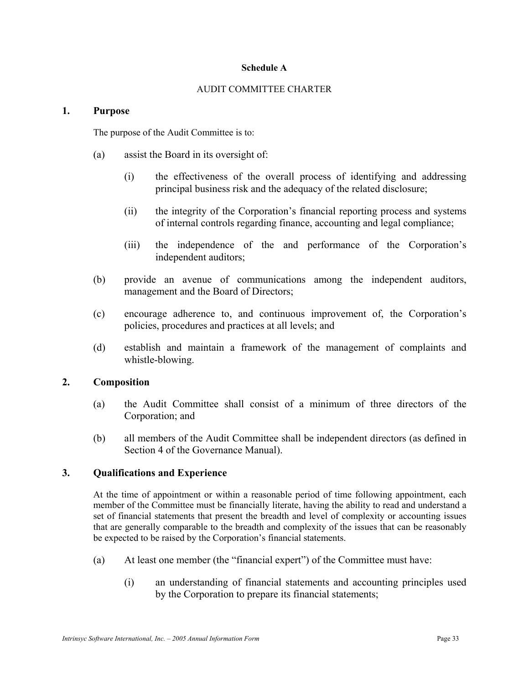## **Schedule A**

#### AUDIT COMMITTEE CHARTER

#### **1. Purpose**

The purpose of the Audit Committee is to:

- (a) assist the Board in its oversight of:
	- (i) the effectiveness of the overall process of identifying and addressing principal business risk and the adequacy of the related disclosure;
	- (ii) the integrity of the Corporation's financial reporting process and systems of internal controls regarding finance, accounting and legal compliance;
	- (iii) the independence of the and performance of the Corporation's independent auditors;
- (b) provide an avenue of communications among the independent auditors, management and the Board of Directors;
- (c) encourage adherence to, and continuous improvement of, the Corporation's policies, procedures and practices at all levels; and
- (d) establish and maintain a framework of the management of complaints and whistle-blowing.

## **2. Composition**

- (a) the Audit Committee shall consist of a minimum of three directors of the Corporation; and
- (b) all members of the Audit Committee shall be independent directors (as defined in Section 4 of the Governance Manual).

## **3. Qualifications and Experience**

At the time of appointment or within a reasonable period of time following appointment, each member of the Committee must be financially literate, having the ability to read and understand a set of financial statements that present the breadth and level of complexity or accounting issues that are generally comparable to the breadth and complexity of the issues that can be reasonably be expected to be raised by the Corporation's financial statements.

- (a) At least one member (the "financial expert") of the Committee must have:
	- (i) an understanding of financial statements and accounting principles used by the Corporation to prepare its financial statements;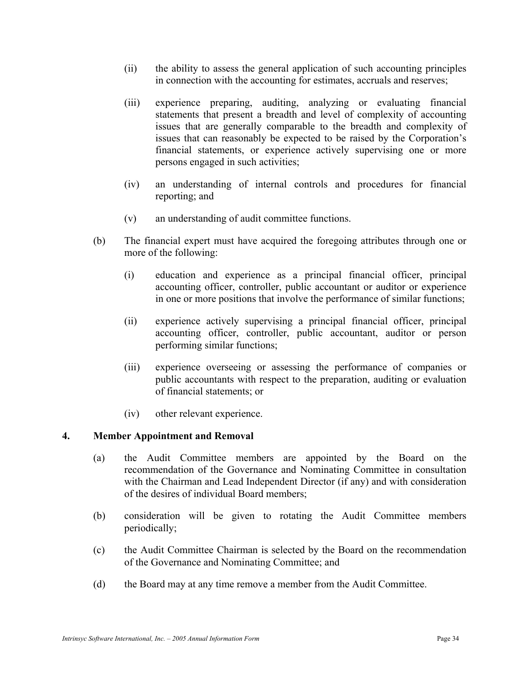- (ii) the ability to assess the general application of such accounting principles in connection with the accounting for estimates, accruals and reserves;
- (iii) experience preparing, auditing, analyzing or evaluating financial statements that present a breadth and level of complexity of accounting issues that are generally comparable to the breadth and complexity of issues that can reasonably be expected to be raised by the Corporation's financial statements, or experience actively supervising one or more persons engaged in such activities;
- (iv) an understanding of internal controls and procedures for financial reporting; and
- (v) an understanding of audit committee functions.
- (b) The financial expert must have acquired the foregoing attributes through one or more of the following:
	- (i) education and experience as a principal financial officer, principal accounting officer, controller, public accountant or auditor or experience in one or more positions that involve the performance of similar functions;
	- (ii) experience actively supervising a principal financial officer, principal accounting officer, controller, public accountant, auditor or person performing similar functions;
	- (iii) experience overseeing or assessing the performance of companies or public accountants with respect to the preparation, auditing or evaluation of financial statements; or
	- (iv) other relevant experience.

## **4. Member Appointment and Removal**

- (a) the Audit Committee members are appointed by the Board on the recommendation of the Governance and Nominating Committee in consultation with the Chairman and Lead Independent Director (if any) and with consideration of the desires of individual Board members;
- (b) consideration will be given to rotating the Audit Committee members periodically;
- (c) the Audit Committee Chairman is selected by the Board on the recommendation of the Governance and Nominating Committee; and
- (d) the Board may at any time remove a member from the Audit Committee.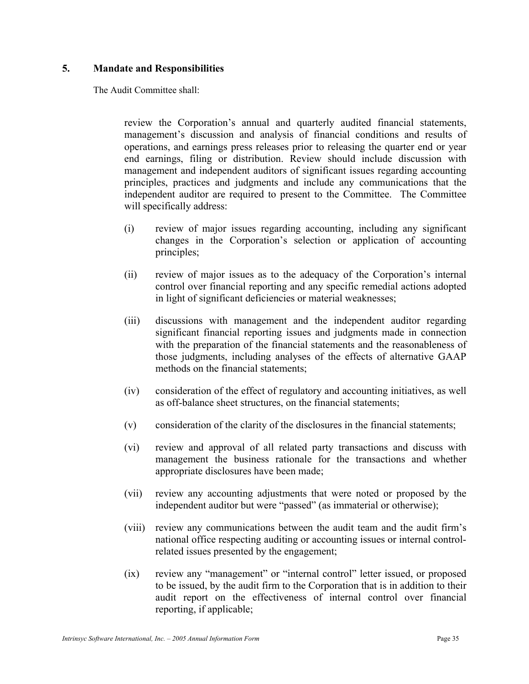## **5. Mandate and Responsibilities**

The Audit Committee shall:

review the Corporation's annual and quarterly audited financial statements, management's discussion and analysis of financial conditions and results of operations, and earnings press releases prior to releasing the quarter end or year end earnings, filing or distribution. Review should include discussion with management and independent auditors of significant issues regarding accounting principles, practices and judgments and include any communications that the independent auditor are required to present to the Committee. The Committee will specifically address:

- (i) review of major issues regarding accounting, including any significant changes in the Corporation's selection or application of accounting principles;
- (ii) review of major issues as to the adequacy of the Corporation's internal control over financial reporting and any specific remedial actions adopted in light of significant deficiencies or material weaknesses;
- (iii) discussions with management and the independent auditor regarding significant financial reporting issues and judgments made in connection with the preparation of the financial statements and the reasonableness of those judgments, including analyses of the effects of alternative GAAP methods on the financial statements;
- (iv) consideration of the effect of regulatory and accounting initiatives, as well as off-balance sheet structures, on the financial statements;
- (v) consideration of the clarity of the disclosures in the financial statements;
- (vi) review and approval of all related party transactions and discuss with management the business rationale for the transactions and whether appropriate disclosures have been made;
- (vii) review any accounting adjustments that were noted or proposed by the independent auditor but were "passed" (as immaterial or otherwise);
- (viii) review any communications between the audit team and the audit firm's national office respecting auditing or accounting issues or internal controlrelated issues presented by the engagement;
- (ix) review any "management" or "internal control" letter issued, or proposed to be issued, by the audit firm to the Corporation that is in addition to their audit report on the effectiveness of internal control over financial reporting, if applicable;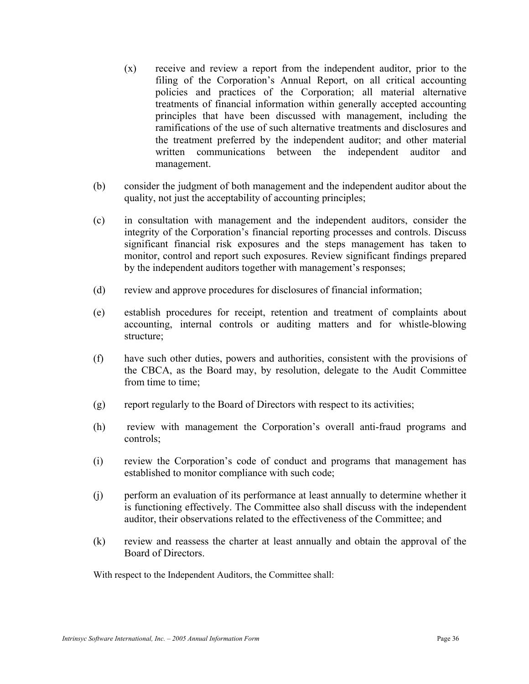- (x) receive and review a report from the independent auditor, prior to the filing of the Corporation's Annual Report, on all critical accounting policies and practices of the Corporation; all material alternative treatments of financial information within generally accepted accounting principles that have been discussed with management, including the ramifications of the use of such alternative treatments and disclosures and the treatment preferred by the independent auditor; and other material written communications between the independent auditor and management.
- (b) consider the judgment of both management and the independent auditor about the quality, not just the acceptability of accounting principles;
- (c) in consultation with management and the independent auditors, consider the integrity of the Corporation's financial reporting processes and controls. Discuss significant financial risk exposures and the steps management has taken to monitor, control and report such exposures. Review significant findings prepared by the independent auditors together with management's responses;
- (d) review and approve procedures for disclosures of financial information;
- (e) establish procedures for receipt, retention and treatment of complaints about accounting, internal controls or auditing matters and for whistle-blowing structure;
- (f) have such other duties, powers and authorities, consistent with the provisions of the CBCA, as the Board may, by resolution, delegate to the Audit Committee from time to time;
- (g) report regularly to the Board of Directors with respect to its activities;
- (h) review with management the Corporation's overall anti-fraud programs and controls;
- (i) review the Corporation's code of conduct and programs that management has established to monitor compliance with such code;
- (j) perform an evaluation of its performance at least annually to determine whether it is functioning effectively. The Committee also shall discuss with the independent auditor, their observations related to the effectiveness of the Committee; and
- (k) review and reassess the charter at least annually and obtain the approval of the Board of Directors.

With respect to the Independent Auditors, the Committee shall: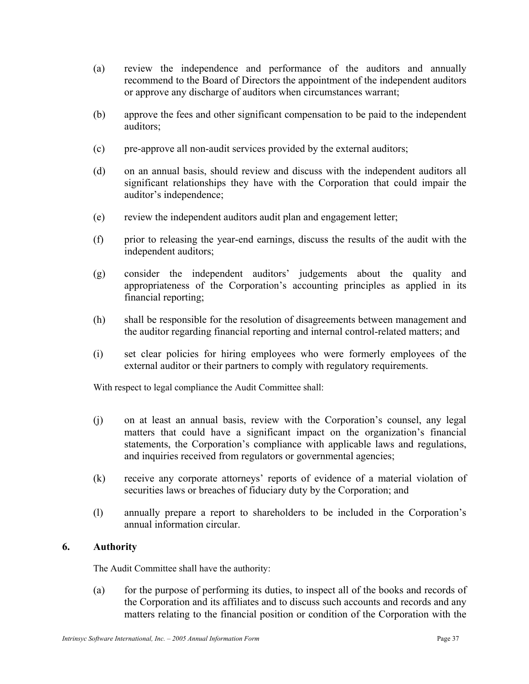- (a) review the independence and performance of the auditors and annually recommend to the Board of Directors the appointment of the independent auditors or approve any discharge of auditors when circumstances warrant;
- (b) approve the fees and other significant compensation to be paid to the independent auditors;
- (c) pre-approve all non-audit services provided by the external auditors;
- (d) on an annual basis, should review and discuss with the independent auditors all significant relationships they have with the Corporation that could impair the auditor's independence;
- (e) review the independent auditors audit plan and engagement letter;
- (f) prior to releasing the year-end earnings, discuss the results of the audit with the independent auditors;
- (g) consider the independent auditors' judgements about the quality and appropriateness of the Corporation's accounting principles as applied in its financial reporting;
- (h) shall be responsible for the resolution of disagreements between management and the auditor regarding financial reporting and internal control-related matters; and
- (i) set clear policies for hiring employees who were formerly employees of the external auditor or their partners to comply with regulatory requirements.

With respect to legal compliance the Audit Committee shall:

- (j) on at least an annual basis, review with the Corporation's counsel, any legal matters that could have a significant impact on the organization's financial statements, the Corporation's compliance with applicable laws and regulations, and inquiries received from regulators or governmental agencies;
- (k) receive any corporate attorneys' reports of evidence of a material violation of securities laws or breaches of fiduciary duty by the Corporation; and
- (l) annually prepare a report to shareholders to be included in the Corporation's annual information circular.

## **6. Authority**

The Audit Committee shall have the authority:

(a) for the purpose of performing its duties, to inspect all of the books and records of the Corporation and its affiliates and to discuss such accounts and records and any matters relating to the financial position or condition of the Corporation with the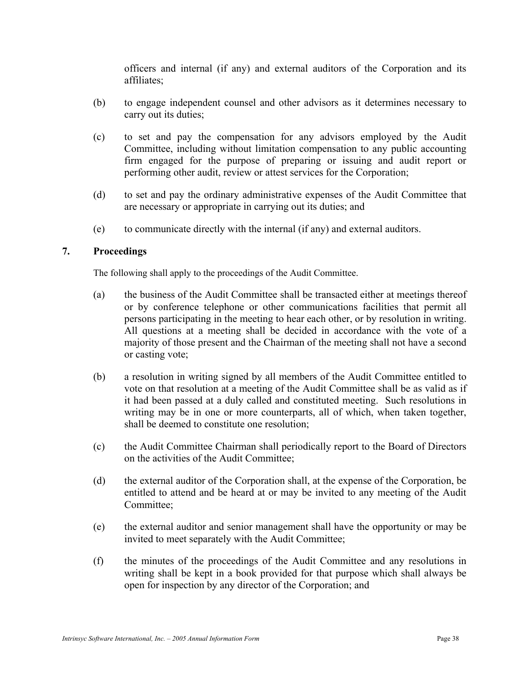officers and internal (if any) and external auditors of the Corporation and its affiliates;

- (b) to engage independent counsel and other advisors as it determines necessary to carry out its duties;
- (c) to set and pay the compensation for any advisors employed by the Audit Committee, including without limitation compensation to any public accounting firm engaged for the purpose of preparing or issuing and audit report or performing other audit, review or attest services for the Corporation;
- (d) to set and pay the ordinary administrative expenses of the Audit Committee that are necessary or appropriate in carrying out its duties; and
- (e) to communicate directly with the internal (if any) and external auditors.

## **7. Proceedings**

The following shall apply to the proceedings of the Audit Committee.

- (a) the business of the Audit Committee shall be transacted either at meetings thereof or by conference telephone or other communications facilities that permit all persons participating in the meeting to hear each other, or by resolution in writing. All questions at a meeting shall be decided in accordance with the vote of a majority of those present and the Chairman of the meeting shall not have a second or casting vote;
- (b) a resolution in writing signed by all members of the Audit Committee entitled to vote on that resolution at a meeting of the Audit Committee shall be as valid as if it had been passed at a duly called and constituted meeting. Such resolutions in writing may be in one or more counterparts, all of which, when taken together, shall be deemed to constitute one resolution;
- (c) the Audit Committee Chairman shall periodically report to the Board of Directors on the activities of the Audit Committee;
- (d) the external auditor of the Corporation shall, at the expense of the Corporation, be entitled to attend and be heard at or may be invited to any meeting of the Audit Committee;
- (e) the external auditor and senior management shall have the opportunity or may be invited to meet separately with the Audit Committee;
- (f) the minutes of the proceedings of the Audit Committee and any resolutions in writing shall be kept in a book provided for that purpose which shall always be open for inspection by any director of the Corporation; and